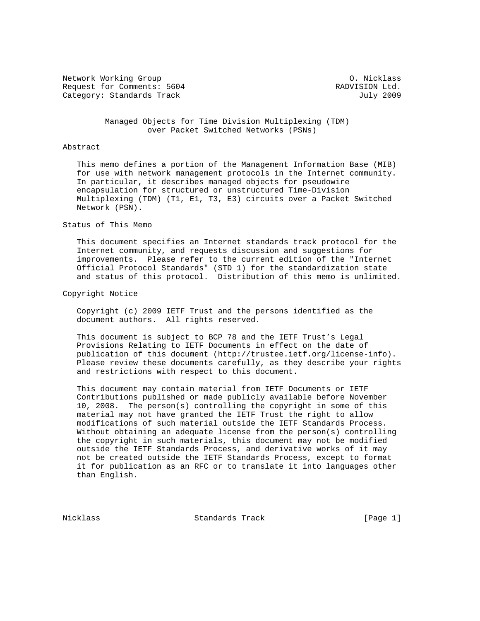Network Working Group Communication of the Micklass Communication of the Micklass Request for Comments: 5604 RADVISION Ltd. Category: Standards Track July 2009

 Managed Objects for Time Division Multiplexing (TDM) over Packet Switched Networks (PSNs)

## Abstract

 This memo defines a portion of the Management Information Base (MIB) for use with network management protocols in the Internet community. In particular, it describes managed objects for pseudowire encapsulation for structured or unstructured Time-Division Multiplexing (TDM) (T1, E1, T3, E3) circuits over a Packet Switched Network (PSN).

Status of This Memo

 This document specifies an Internet standards track protocol for the Internet community, and requests discussion and suggestions for improvements. Please refer to the current edition of the "Internet Official Protocol Standards" (STD 1) for the standardization state and status of this protocol. Distribution of this memo is unlimited.

# Copyright Notice

 Copyright (c) 2009 IETF Trust and the persons identified as the document authors. All rights reserved.

 This document is subject to BCP 78 and the IETF Trust's Legal Provisions Relating to IETF Documents in effect on the date of publication of this document (http://trustee.ietf.org/license-info). Please review these documents carefully, as they describe your rights and restrictions with respect to this document.

 This document may contain material from IETF Documents or IETF Contributions published or made publicly available before November 10, 2008. The person(s) controlling the copyright in some of this material may not have granted the IETF Trust the right to allow modifications of such material outside the IETF Standards Process. Without obtaining an adequate license from the person(s) controlling the copyright in such materials, this document may not be modified outside the IETF Standards Process, and derivative works of it may not be created outside the IETF Standards Process, except to format it for publication as an RFC or to translate it into languages other than English.

Nicklass Standards Track [Page 1]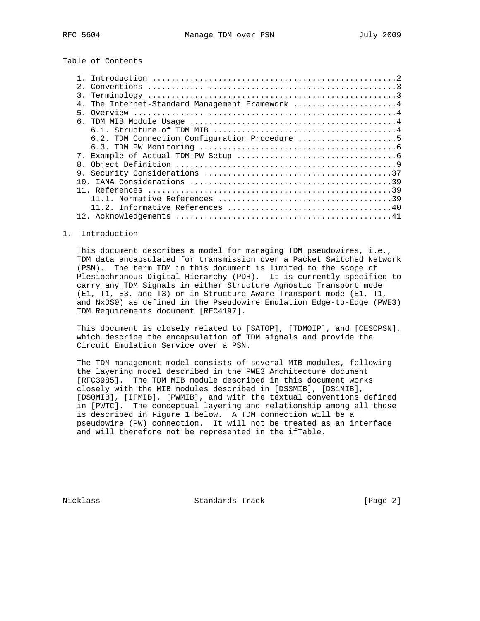Table of Contents

|                 | 4. The Internet-Standard Management Framework 4 |
|-----------------|-------------------------------------------------|
|                 |                                                 |
|                 |                                                 |
|                 |                                                 |
|                 | 6.2. TDM Connection Configuration Procedure 5   |
|                 |                                                 |
|                 |                                                 |
| 8.              |                                                 |
| 9.              |                                                 |
| 10 <sup>1</sup> |                                                 |
|                 |                                                 |
|                 |                                                 |
|                 |                                                 |
|                 |                                                 |

#### 1. Introduction

 This document describes a model for managing TDM pseudowires, i.e., TDM data encapsulated for transmission over a Packet Switched Network (PSN). The term TDM in this document is limited to the scope of Plesiochronous Digital Hierarchy (PDH). It is currently specified to carry any TDM Signals in either Structure Agnostic Transport mode (E1, T1, E3, and T3) or in Structure Aware Transport mode (E1, T1, and NxDS0) as defined in the Pseudowire Emulation Edge-to-Edge (PWE3) TDM Requirements document [RFC4197].

 This document is closely related to [SATOP], [TDMOIP], and [CESOPSN], which describe the encapsulation of TDM signals and provide the Circuit Emulation Service over a PSN.

 The TDM management model consists of several MIB modules, following the layering model described in the PWE3 Architecture document [RFC3985]. The TDM MIB module described in this document works closely with the MIB modules described in [DS3MIB], [DS1MIB], [DS0MIB], [IFMIB], [PWMIB], and with the textual conventions defined in [PWTC]. The conceptual layering and relationship among all those is described in Figure 1 below. A TDM connection will be a pseudowire (PW) connection. It will not be treated as an interface and will therefore not be represented in the ifTable.

Nicklass Standards Track [Page 2]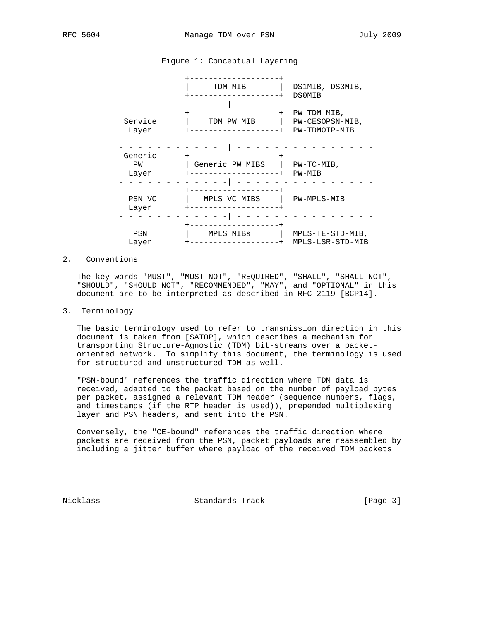# Figure 1: Conceptual Layering



# 2. Conventions

 The key words "MUST", "MUST NOT", "REQUIRED", "SHALL", "SHALL NOT", "SHOULD", "SHOULD NOT", "RECOMMENDED", "MAY", and "OPTIONAL" in this document are to be interpreted as described in RFC 2119 [BCP14].

## 3. Terminology

 The basic terminology used to refer to transmission direction in this document is taken from [SATOP], which describes a mechanism for transporting Structure-Agnostic (TDM) bit-streams over a packet oriented network. To simplify this document, the terminology is used for structured and unstructured TDM as well.

 "PSN-bound" references the traffic direction where TDM data is received, adapted to the packet based on the number of payload bytes per packet, assigned a relevant TDM header (sequence numbers, flags, and timestamps (if the RTP header is used)), prepended multiplexing layer and PSN headers, and sent into the PSN.

 Conversely, the "CE-bound" references the traffic direction where packets are received from the PSN, packet payloads are reassembled by including a jitter buffer where payload of the received TDM packets

Nicklass Standards Track [Page 3]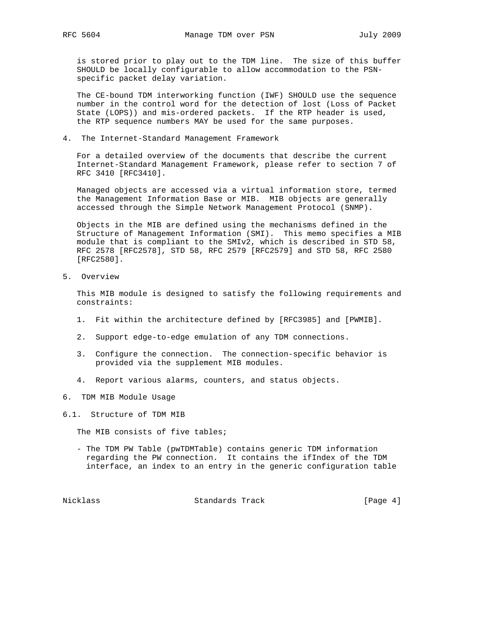is stored prior to play out to the TDM line. The size of this buffer SHOULD be locally configurable to allow accommodation to the PSN specific packet delay variation.

 The CE-bound TDM interworking function (IWF) SHOULD use the sequence number in the control word for the detection of lost (Loss of Packet State (LOPS)) and mis-ordered packets. If the RTP header is used, the RTP sequence numbers MAY be used for the same purposes.

4. The Internet-Standard Management Framework

 For a detailed overview of the documents that describe the current Internet-Standard Management Framework, please refer to section 7 of RFC 3410 [RFC3410].

 Managed objects are accessed via a virtual information store, termed the Management Information Base or MIB. MIB objects are generally accessed through the Simple Network Management Protocol (SNMP).

 Objects in the MIB are defined using the mechanisms defined in the Structure of Management Information (SMI). This memo specifies a MIB module that is compliant to the SMIv2, which is described in STD 58, RFC 2578 [RFC2578], STD 58, RFC 2579 [RFC2579] and STD 58, RFC 2580 [RFC2580].

5. Overview

 This MIB module is designed to satisfy the following requirements and constraints:

- 1. Fit within the architecture defined by [RFC3985] and [PWMIB].
- 2. Support edge-to-edge emulation of any TDM connections.
- 3. Configure the connection. The connection-specific behavior is provided via the supplement MIB modules.
- 4. Report various alarms, counters, and status objects.
- 6. TDM MIB Module Usage
- 6.1. Structure of TDM MIB

The MIB consists of five tables;

 - The TDM PW Table (pwTDMTable) contains generic TDM information regarding the PW connection. It contains the ifIndex of the TDM interface, an index to an entry in the generic configuration table

Nicklass Standards Track [Page 4]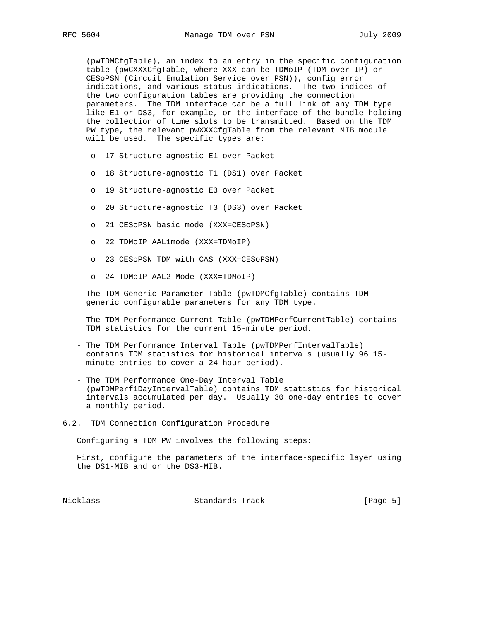(pwTDMCfgTable), an index to an entry in the specific configuration table (pwCXXXCfgTable, where XXX can be TDMoIP (TDM over IP) or CESoPSN (Circuit Emulation Service over PSN)), config error indications, and various status indications. The two indices of the two configuration tables are providing the connection parameters. The TDM interface can be a full link of any TDM type like E1 or DS3, for example, or the interface of the bundle holding the collection of time slots to be transmitted. Based on the TDM PW type, the relevant pwXXXCfgTable from the relevant MIB module will be used. The specific types are:

- o 17 Structure-agnostic E1 over Packet
- o 18 Structure-agnostic T1 (DS1) over Packet
- o 19 Structure-agnostic E3 over Packet
- o 20 Structure-agnostic T3 (DS3) over Packet
- o 21 CESoPSN basic mode (XXX=CESoPSN)
- o 22 TDMoIP AAL1mode (XXX=TDMoIP)
- o 23 CESoPSN TDM with CAS (XXX=CESoPSN)
- o 24 TDMoIP AAL2 Mode (XXX=TDMoIP)
- The TDM Generic Parameter Table (pwTDMCfgTable) contains TDM generic configurable parameters for any TDM type.
- The TDM Performance Current Table (pwTDMPerfCurrentTable) contains TDM statistics for the current 15-minute period.
- The TDM Performance Interval Table (pwTDMPerfIntervalTable) contains TDM statistics for historical intervals (usually 96 15 minute entries to cover a 24 hour period).
- The TDM Performance One-Day Interval Table (pwTDMPerf1DayIntervalTable) contains TDM statistics for historical intervals accumulated per day. Usually 30 one-day entries to cover a monthly period.
- 6.2. TDM Connection Configuration Procedure

Configuring a TDM PW involves the following steps:

 First, configure the parameters of the interface-specific layer using the DS1-MIB and or the DS3-MIB.

Nicklass Standards Track [Page 5]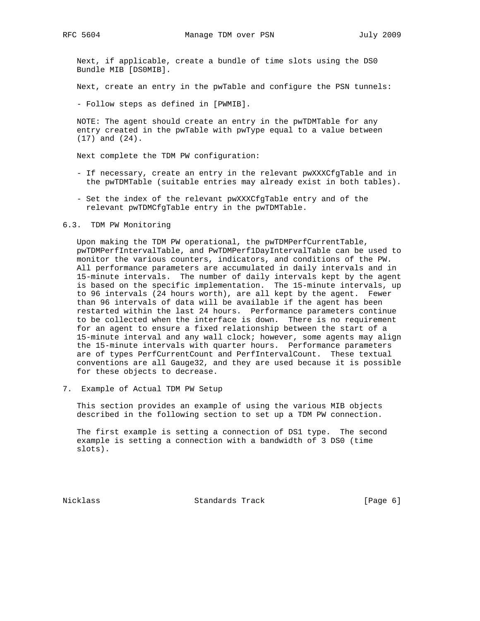Next, if applicable, create a bundle of time slots using the DS0 Bundle MIB [DS0MIB].

Next, create an entry in the pwTable and configure the PSN tunnels:

- Follow steps as defined in [PWMIB].

 NOTE: The agent should create an entry in the pwTDMTable for any entry created in the pwTable with pwType equal to a value between (17) and (24).

Next complete the TDM PW configuration:

- If necessary, create an entry in the relevant pwXXXCfgTable and in the pwTDMTable (suitable entries may already exist in both tables).
- Set the index of the relevant pwXXXCfgTable entry and of the relevant pwTDMCfgTable entry in the pwTDMTable.

#### 6.3. TDM PW Monitoring

 Upon making the TDM PW operational, the pwTDMPerfCurrentTable, pwTDMPerfIntervalTable, and PwTDMPerf1DayIntervalTable can be used to monitor the various counters, indicators, and conditions of the PW. All performance parameters are accumulated in daily intervals and in 15-minute intervals. The number of daily intervals kept by the agent is based on the specific implementation. The 15-minute intervals, up to 96 intervals (24 hours worth), are all kept by the agent. Fewer than 96 intervals of data will be available if the agent has been restarted within the last 24 hours. Performance parameters continue to be collected when the interface is down. There is no requirement for an agent to ensure a fixed relationship between the start of a 15-minute interval and any wall clock; however, some agents may align the 15-minute intervals with quarter hours. Performance parameters are of types PerfCurrentCount and PerfIntervalCount. These textual conventions are all Gauge32, and they are used because it is possible for these objects to decrease.

7. Example of Actual TDM PW Setup

 This section provides an example of using the various MIB objects described in the following section to set up a TDM PW connection.

 The first example is setting a connection of DS1 type. The second example is setting a connection with a bandwidth of 3 DS0 (time slots).

Nicklass Standards Track [Page 6]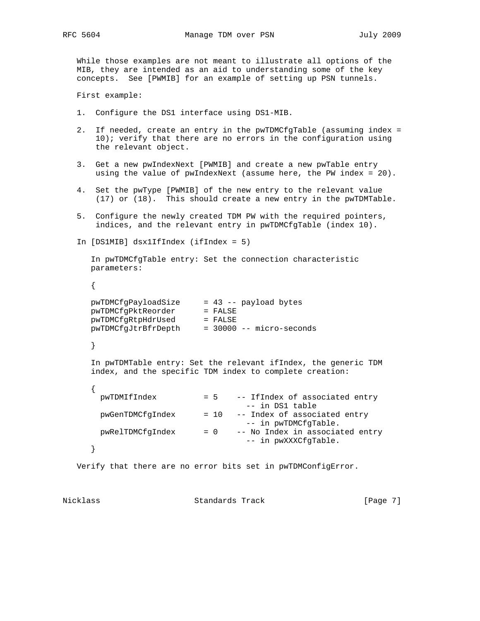While those examples are not meant to illustrate all options of the MIB, they are intended as an aid to understanding some of the key concepts. See [PWMIB] for an example of setting up PSN tunnels.

First example:

- 1. Configure the DS1 interface using DS1-MIB.
- 2. If needed, create an entry in the pwTDMCfgTable (assuming index = 10); verify that there are no errors in the configuration using the relevant object.
- 3. Get a new pwIndexNext [PWMIB] and create a new pwTable entry using the value of pwIndexNext (assume here, the PW index = 20).
- 4. Set the pwType [PWMIB] of the new entry to the relevant value (17) or (18). This should create a new entry in the pwTDMTable.
- 5. Configure the newly created TDM PW with the required pointers, indices, and the relevant entry in pwTDMCfgTable (index 10).

```
 In [DS1MIB] dsx1IfIndex (ifIndex = 5)
```
 In pwTDMCfgTable entry: Set the connection characteristic parameters:

{

| pwTDMCfqPayloadSize | $= 43$ -- payload bytes    |
|---------------------|----------------------------|
| pwTDMCfqPktReorder  | $=$ FALSE                  |
| pwTDMCfqRtpHdrUsed  | $=$ FALSE                  |
| pwTDMCfqJtrBfrDepth | $=$ 30000 -- micro-seconds |
|                     |                            |

}

 In pwTDMTable entry: Set the relevant ifIndex, the generic TDM index, and the specific TDM index to complete creation:

| pwTDMIfIndex     |        | = 5 -- IfIndex of associated entry<br>-- in DS1 table   |
|------------------|--------|---------------------------------------------------------|
| pwGenTDMCfqIndex | $= 10$ | -- Index of associated entry<br>-- in pwTDMCfqTable.    |
| pwRelTDMCfqIndex | $= 0$  | -- No Index in associated entry<br>-- in pwXXXCfqTable. |
|                  |        |                                                         |

Verify that there are no error bits set in pwTDMConfigError.

Nicklass Standards Track [Page 7]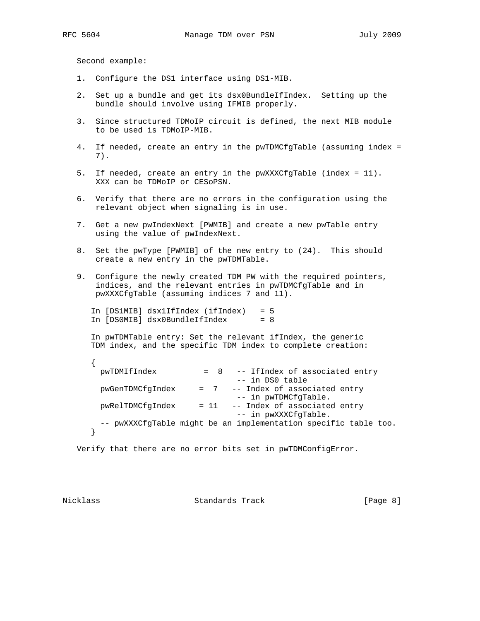Second example:

- 1. Configure the DS1 interface using DS1-MIB.
- 2. Set up a bundle and get its dsx0BundleIfIndex. Setting up the bundle should involve using IFMIB properly.
- 3. Since structured TDMoIP circuit is defined, the next MIB module to be used is TDMoIP-MIB.
- 4. If needed, create an entry in the pwTDMCfgTable (assuming index = 7).
- 5. If needed, create an entry in the pwXXXCfgTable (index = 11). XXX can be TDMoIP or CESoPSN.
- 6. Verify that there are no errors in the configuration using the relevant object when signaling is in use.
- 7. Get a new pwIndexNext [PWMIB] and create a new pwTable entry using the value of pwIndexNext.
- 8. Set the pwType [PWMIB] of the new entry to (24). This should create a new entry in the pwTDMTable.
- 9. Configure the newly created TDM PW with the required pointers, indices, and the relevant entries in pwTDMCfgTable and in pwXXXCfgTable (assuming indices 7 and 11).

 In [DS1MIB] dsx1IfIndex (ifIndex) = 5 In [DS0MIB] dsx0BundleIfIndex = 8

 In pwTDMTable entry: Set the relevant ifIndex, the generic TDM index, and the specific TDM index to complete creation:

```
 {
 pwTDMIfIndex = 8 -- IfIndex of associated entry
                             -- in DS0 table
  pwGenTDMCfgIndex = 7 -- Index of associated entry
                             -- in pwTDMCfgTable.
  pwRelTDMCfgIndex = 11 -- Index of associated entry
                            -- in pwXXXCfgTable.
  -- pwXXXCfgTable might be an implementation specific table too.
 }
```
Verify that there are no error bits set in pwTDMConfigError.

Nicklass Standards Track [Page 8]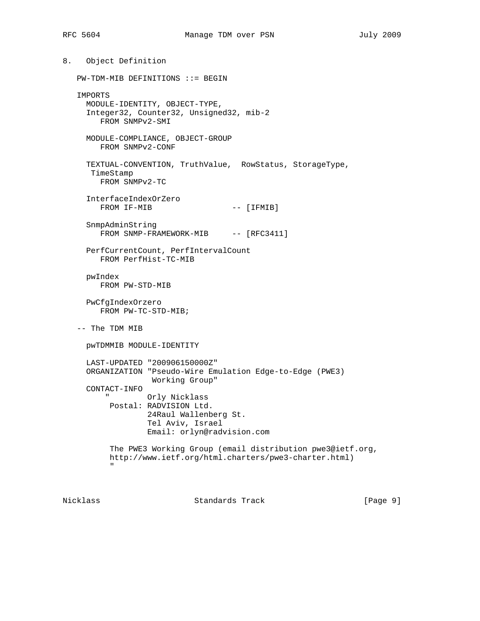8. Object Definition PW-TDM-MIB DEFINITIONS ::= BEGIN IMPORTS MODULE-IDENTITY, OBJECT-TYPE, Integer32, Counter32, Unsigned32, mib-2 FROM SNMPv2-SMI MODULE-COMPLIANCE, OBJECT-GROUP FROM SNMPv2-CONF TEXTUAL-CONVENTION, TruthValue, RowStatus, StorageType, TimeStamp FROM SNMPv2-TC InterfaceIndexOrZero FROM IF-MIB  $---$  [IFMIB] SnmpAdminString FROM SNMP-FRAMEWORK-MIB -- [RFC3411] PerfCurrentCount, PerfIntervalCount FROM PerfHist-TC-MIB pwIndex FROM PW-STD-MIB PwCfgIndexOrzero FROM PW-TC-STD-MIB; -- The TDM MIB pwTDMMIB MODULE-IDENTITY LAST-UPDATED "200906150000Z" ORGANIZATION "Pseudo-Wire Emulation Edge-to-Edge (PWE3) Working Group" CONTACT-INFO " Orly Nicklass Postal: RADVISION Ltd. 24Raul Wallenberg St. Tel Aviv, Israel Email: orlyn@radvision.com The PWE3 Working Group (email distribution pwe3@ietf.org, http://www.ietf.org/html.charters/pwe3-charter.html) " "The Contract of the Contract of the Contract of the Contract of the Contract of the Contract of the Contract of the Contract of the Contract of the Contract of the Contract of the Contract of the Contract of the Contrac

Nicklass Standards Track [Page 9]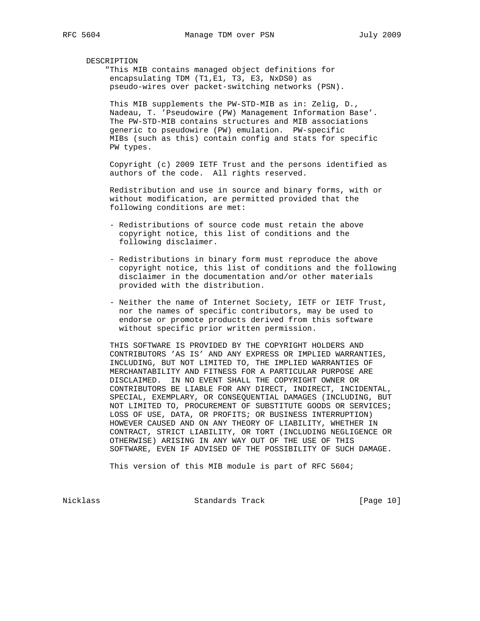### DESCRIPTION

 "This MIB contains managed object definitions for encapsulating TDM (T1, E1, T3, E3, NxDS0) as pseudo-wires over packet-switching networks (PSN).

 This MIB supplements the PW-STD-MIB as in: Zelig, D., Nadeau, T. 'Pseudowire (PW) Management Information Base'. The PW-STD-MIB contains structures and MIB associations generic to pseudowire (PW) emulation. PW-specific MIBs (such as this) contain config and stats for specific PW types.

 Copyright (c) 2009 IETF Trust and the persons identified as authors of the code. All rights reserved.

 Redistribution and use in source and binary forms, with or without modification, are permitted provided that the following conditions are met:

- Redistributions of source code must retain the above copyright notice, this list of conditions and the following disclaimer.
- Redistributions in binary form must reproduce the above copyright notice, this list of conditions and the following disclaimer in the documentation and/or other materials provided with the distribution.
- Neither the name of Internet Society, IETF or IETF Trust, nor the names of specific contributors, may be used to endorse or promote products derived from this software without specific prior written permission.

 THIS SOFTWARE IS PROVIDED BY THE COPYRIGHT HOLDERS AND CONTRIBUTORS 'AS IS' AND ANY EXPRESS OR IMPLIED WARRANTIES, INCLUDING, BUT NOT LIMITED TO, THE IMPLIED WARRANTIES OF MERCHANTABILITY AND FITNESS FOR A PARTICULAR PURPOSE ARE DISCLAIMED. IN NO EVENT SHALL THE COPYRIGHT OWNER OR CONTRIBUTORS BE LIABLE FOR ANY DIRECT, INDIRECT, INCIDENTAL, SPECIAL, EXEMPLARY, OR CONSEQUENTIAL DAMAGES (INCLUDING, BUT NOT LIMITED TO, PROCUREMENT OF SUBSTITUTE GOODS OR SERVICES; LOSS OF USE, DATA, OR PROFITS; OR BUSINESS INTERRUPTION) HOWEVER CAUSED AND ON ANY THEORY OF LIABILITY, WHETHER IN CONTRACT, STRICT LIABILITY, OR TORT (INCLUDING NEGLIGENCE OR OTHERWISE) ARISING IN ANY WAY OUT OF THE USE OF THIS SOFTWARE, EVEN IF ADVISED OF THE POSSIBILITY OF SUCH DAMAGE.

This version of this MIB module is part of RFC 5604;

Nicklass Standards Track [Page 10]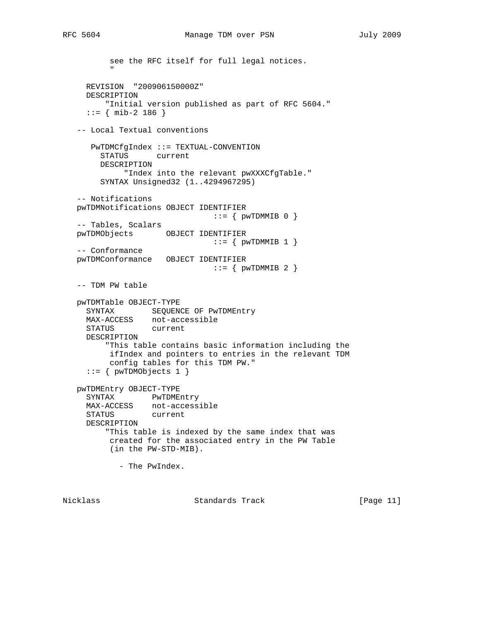```
 see the RFC itself for full legal notices.
" "The Contract of the Contract of the Contract of the Contract of the Contract of the Contract of the Contract of the Contract of the Contract of the Contract of the Contract of the Contract of the Contract of the Contrac
      REVISION "200906150000Z"
      DESCRIPTION
           "Initial version published as part of RFC 5604."
     ::= { mib-2 186 }
    -- Local Textual conventions
       PwTDMCfgIndex ::= TEXTUAL-CONVENTION
         STATUS current
         DESCRIPTION
               "Index into the relevant pwXXXCfgTable."
          SYNTAX Unsigned32 (1..4294967295)
    -- Notifications
    pwTDMNotifications OBJECT IDENTIFIER
                                    ::= \{ pwTDMMIB 0 \} -- Tables, Scalars
    pwTDMObjects OBJECT IDENTIFIER
                                    ::= \{ pwTDMMIB 1 \} -- Conformance
    pwTDMConformance OBJECT IDENTIFIER
                                    ::= { pwTDMMIB 2 }
    -- TDM PW table
    pwTDMTable OBJECT-TYPE
     SYNTAX SEQUENCE OF PWTDMEntry
      MAX-ACCESS not-accessible
      STATUS current
      DESCRIPTION
           "This table contains basic information including the
            ifIndex and pointers to entries in the relevant TDM
            config tables for this TDM PW."
      ::= { pwTDMObjects 1 }
    pwTDMEntry OBJECT-TYPE
      SYNTAX PwTDMEntry
      MAX-ACCESS not-accessible
      STATUS current
      DESCRIPTION
           "This table is indexed by the same index that was
           created for the associated entry in the PW Table
            (in the PW-STD-MIB).
             - The PwIndex.
```
Nicklass Standards Track [Page 11]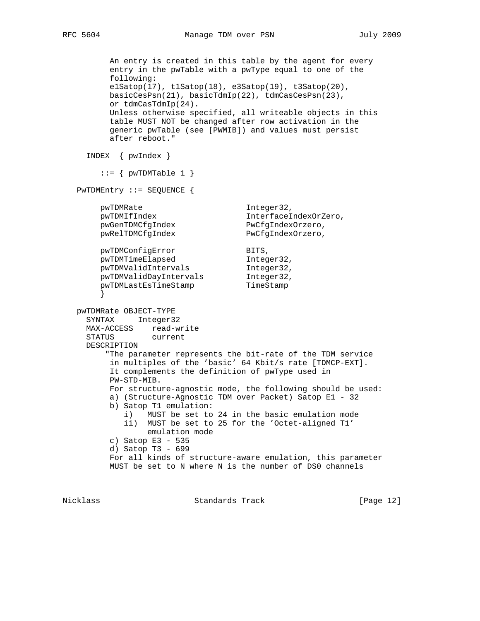```
RFC 5604 Manage TDM over PSN July 2009
```
 An entry is created in this table by the agent for every entry in the pwTable with a pwType equal to one of the following: e1Satop(17), t1Satop(18), e3Satop(19), t3Satop(20), basicCesPsn(21), basicTdmIp(22), tdmCasCesPsn(23), or tdmCasTdmIp(24). Unless otherwise specified, all writeable objects in this table MUST NOT be changed after row activation in the generic pwTable (see [PWMIB]) and values must persist after reboot." INDEX { pwIndex }  $::=$  { pwTDMTable 1 } PwTDMEntry ::= SEQUENCE { pwTDMRate Integer32, pwTDMIfIndex 1nterfaceIndexOrZero, pwGenTDMCfgIndex PwCfgIndexOrzero, pwGenTDMCfgIndex PwCfgIndexOrzero,<br>pwRelTDMCfgIndex PwCfgIndexOrzero, pwTDMConfigError BITS,<br>pwTDMTimeElapsed https://www.pwtDMTimeElapsed pwTDMTimeElapsed 1nteger32, pwTDMValidIntervals Integer32, pwTDMValidDayIntervals Integer32, pwTDMLastEsTimeStamp TimeStamp } pwTDMRate OBJECT-TYPE SYNTAX Integer32 MAX-ACCESS read-write STATUS current DESCRIPTION "The parameter represents the bit-rate of the TDM service in multiples of the 'basic' 64 Kbit/s rate [TDMCP-EXT]. It complements the definition of pwType used in PW-STD-MIB. For structure-agnostic mode, the following should be used: a) (Structure-Agnostic TDM over Packet) Satop E1 - 32 b) Satop T1 emulation: i) MUST be set to 24 in the basic emulation mode ii) MUST be set to 25 for the 'Octet-aligned T1' emulation mode c) Satop E3 - 535 d) Satop T3 - 699 For all kinds of structure-aware emulation, this parameter MUST be set to N where N is the number of DS0 channels

Nicklass Standards Track [Page 12]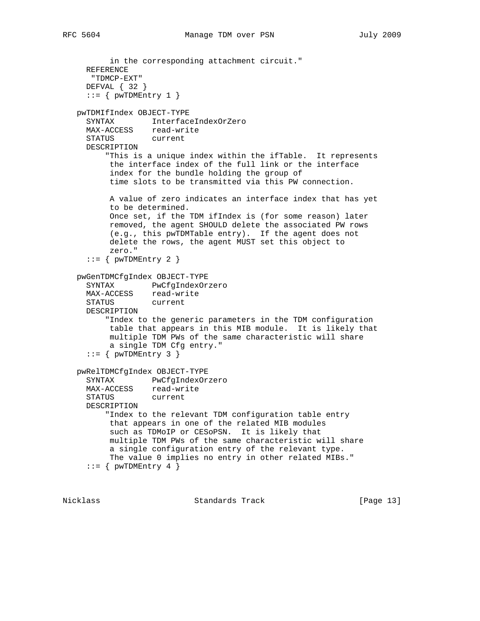```
 in the corresponding attachment circuit."
   REFERENCE
    "TDMCP-EXT"
   DEFVAL { 32 }
  ::= { pwTDMEntry 1 }
 pwTDMIfIndex OBJECT-TYPE
   SYNTAX InterfaceIndexOrZero
   MAX-ACCESS read-write
   STATUS current
   DESCRIPTION
       "This is a unique index within the ifTable. It represents
       the interface index of the full link or the interface
        index for the bundle holding the group of
        time slots to be transmitted via this PW connection.
       A value of zero indicates an interface index that has yet
       to be determined.
       Once set, if the TDM ifIndex is (for some reason) later
       removed, the agent SHOULD delete the associated PW rows
        (e.g., this pwTDMTable entry). If the agent does not
       delete the rows, the agent MUST set this object to
       zero."
  ::= { pwTDMEntry 2 }
 pwGenTDMCfgIndex OBJECT-TYPE
   SYNTAX PwCfgIndexOrzero
  MAX-ACCESS read-write<br>STATUS current
  STATUS
   DESCRIPTION
       "Index to the generic parameters in the TDM configuration
       table that appears in this MIB module. It is likely that
        multiple TDM PWs of the same characteristic will share
        a single TDM Cfg entry."
  ::= { pwTDMENTY 3 }
 pwRelTDMCfgIndex OBJECT-TYPE
   SYNTAX PwCfgIndexOrzero
  MAX-ACCESS read-write
   STATUS current
   DESCRIPTION
       "Index to the relevant TDM configuration table entry
       that appears in one of the related MIB modules
        such as TDMoIP or CESoPSN. It is likely that
        multiple TDM PWs of the same characteristic will share
        a single configuration entry of the relevant type.
       The value 0 implies no entry in other related MIBs."
```

```
::= { pwTDMEntry 4 }
```
Nicklass Standards Track [Page 13]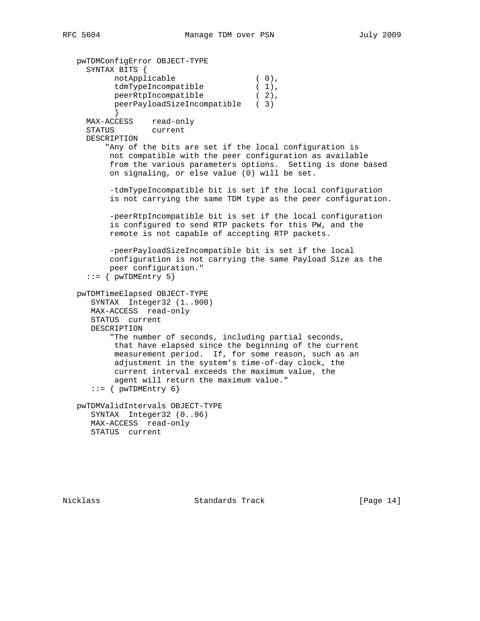```
 pwTDMConfigError OBJECT-TYPE
     SYNTAX BITS {
notApplicable (0),
tdmTypeIncompatible (1),
peerRtpIncompatible (2),
           peerPayloadSizeIncompatible ( 3)
           }
     MAX-ACCESS read-only
     STATUS current
     DESCRIPTION
         "Any of the bits are set if the local configuration is
          not compatible with the peer configuration as available
          from the various parameters options. Setting is done based
          on signaling, or else value (0) will be set.
          -tdmTypeIncompatible bit is set if the local configuration
          is not carrying the same TDM type as the peer configuration.
          -peerRtpIncompatible bit is set if the local configuration
          is configured to send RTP packets for this PW, and the
          remote is not capable of accepting RTP packets.
          -peerPayloadSizeIncompatible bit is set if the local
          configuration is not carrying the same Payload Size as the
          peer configuration."
    ::= { pwTDMEntry 5}
   pwTDMTimeElapsed OBJECT-TYPE
      SYNTAX Integer32 (1..900)
      MAX-ACCESS read-only
      STATUS current
      DESCRIPTION
          "The number of seconds, including partial seconds,
           that have elapsed since the beginning of the current
           measurement period. If, for some reason, such as an
           adjustment in the system's time-of-day clock, the
           current interval exceeds the maximum value, the
           agent will return the maximum value."
     ::= { pwTDMEntry 6}
   pwTDMValidIntervals OBJECT-TYPE
      SYNTAX Integer32 (0..96)
      MAX-ACCESS read-only
```
STATUS current

Nicklass Standards Track [Page 14]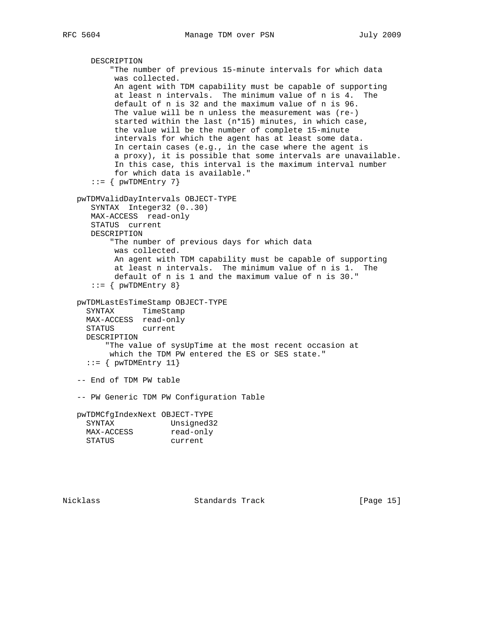```
 DESCRIPTION
          "The number of previous 15-minute intervals for which data
           was collected.
           An agent with TDM capability must be capable of supporting
           at least n intervals. The minimum value of n is 4. The
           default of n is 32 and the maximum value of n is 96.
           The value will be n unless the measurement was (re-)
           started within the last (n*15) minutes, in which case,
           the value will be the number of complete 15-minute
           intervals for which the agent has at least some data.
           In certain cases (e.g., in the case where the agent is
           a proxy), it is possible that some intervals are unavailable.
           In this case, this interval is the maximum interval number
           for which data is available."
     ::= { pwTDMEntry 7}
   pwTDMValidDayIntervals OBJECT-TYPE
      SYNTAX Integer32 (0..30)
      MAX-ACCESS read-only
      STATUS current
      DESCRIPTION
          "The number of previous days for which data
           was collected.
           An agent with TDM capability must be capable of supporting
           at least n intervals. The minimum value of n is 1. The
           default of n is 1 and the maximum value of n is 30."
     ::= { pwTDMEntry 8}
   pwTDMLastEsTimeStamp OBJECT-TYPE
     SYNTAX TimeStamp
     MAX-ACCESS read-only
     STATUS current
     DESCRIPTION
         "The value of sysUpTime at the most recent occasion at
          which the TDM PW entered the ES or SES state."
    ::= { pwTDMENTY 11}
   -- End of TDM PW table
   -- PW Generic TDM PW Configuration Table
   pwTDMCfgIndexNext OBJECT-TYPE
     SYNTAX Unsigned32
MAX-ACCESS read-only
 STATUS current
```
Nicklass Standards Track [Page 15]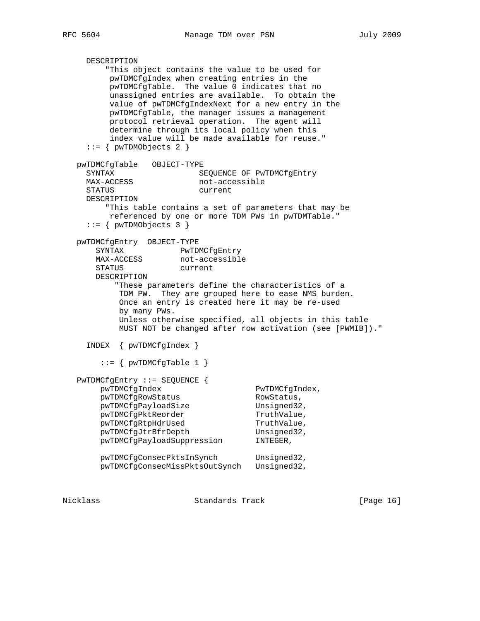```
 DESCRIPTION
       "This object contains the value to be used for
       pwTDMCfgIndex when creating entries in the
       pwTDMCfgTable. The value 0 indicates that no
       unassigned entries are available. To obtain the
       value of pwTDMCfgIndexNext for a new entry in the
       pwTDMCfgTable, the manager issues a management
       protocol retrieval operation. The agent will
       determine through its local policy when this
       index value will be made available for reuse."
  ::= { pwTDMObjects 2 }
 pwTDMCfgTable OBJECT-TYPE
 SYNTAX SEQUENCE OF PWTDMCfgEntry<br>
MAX-ACCESS hot-accessible
                         not-accessible
   STATUS current
  DESCRIPTION
       "This table contains a set of parameters that may be
       referenced by one or more TDM PWs in pwTDMTable."
  ::= { pwTDMObjects 3 }
 pwTDMCfgEntry OBJECT-TYPE
   SYNTAX PwTDMCfgEntry
   MAX-ACCESS not-accessible
    STATUS current
    DESCRIPTION
         "These parameters define the characteristics of a
```
 TDM PW. They are grouped here to ease NMS burden. Once an entry is created here it may be re-used by many PWs. Unless otherwise specified, all objects in this table MUST NOT be changed after row activation (see [PWMIB])."

INDEX { pwTDMCfgIndex }

 $::=$  { pwTDMCfgTable 1 }

| $PwTDMCfgEntry : := SEQUENCE$  |                |
|--------------------------------|----------------|
| pwTDMCfqIndex                  | PwTDMCfqIndex, |
| pwTDMCfgRowStatus              | RowStatus,     |
| pwTDMCfgPayloadSize            | Unsigned32,    |
| pwTDMCfqPktReorder             | TruthValue,    |
| pwTDMCfgRtpHdrUsed             | TruthValue,    |
| pwTDMCfgJtrBfrDepth            | Unsigned32,    |
| pwTDMCfqPayloadSuppression     | INTEGER,       |
| pwTDMCfgConsecPktsInSynch      | Unsigned32,    |
| pwTDMCfgConsecMissPktsOutSynch | Unsigned32,    |

Nicklass Standards Track [Page 16]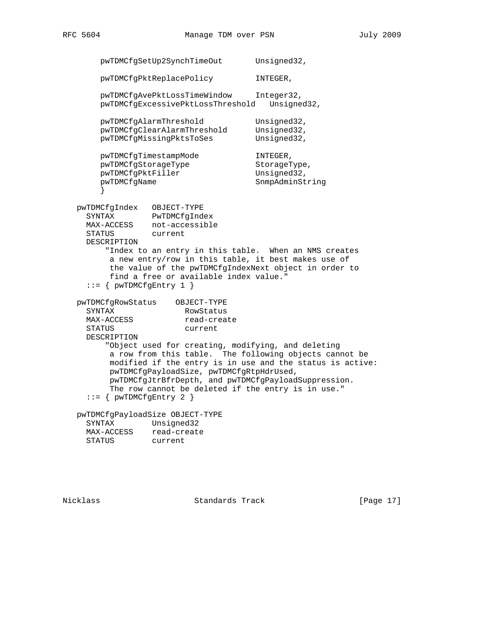```
pwTDMCfgSetUp2SynchTimeOut Unsigned32,
       pwTDMCfgPktReplacePolicy INTEGER,
       pwTDMCfgAvePktLossTimeWindow Integer32,
       pwTDMCfgExcessivePktLossThreshold Unsigned32,
       pwTDMCfgAlarmThreshold Unsigned32,
       pwTDMCfgClearAlarmThreshold Unsigned32,
       pwTDMCfgMissingPktsToSes Unsigned32,
       pwTDMCfgTimestampMode INTEGER,
      pwTDMCfgStorageType StorageType,
      pwTDMCfgPktFiller Unsigned32,
       pwTDMCfgName SnmpAdminString
 }
   pwTDMCfgIndex OBJECT-TYPE
     SYNTAX PwTDMCfgIndex
     MAX-ACCESS not-accessible
     STATUS current
     DESCRIPTION
         "Index to an entry in this table. When an NMS creates
         a new entry/row in this table, it best makes use of
         the value of the pwTDMCfgIndexNext object in order to
         find a free or available index value."
    ::= { pwTDMCfgEntry 1 }
   pwTDMCfgRowStatus OBJECT-TYPE
    SYNTAX RowStatus<br>
MAX-ACCESS read-create
    MAX-ACCESS
     STATUS current
     DESCRIPTION
         "Object used for creating, modifying, and deleting
         a row from this table. The following objects cannot be
         modified if the entry is in use and the status is active:
         pwTDMCfgPayloadSize, pwTDMCfgRtpHdrUsed,
         pwTDMCfgJtrBfrDepth, and pwTDMCfgPayloadSuppression.
         The row cannot be deleted if the entry is in use."
    ::= { pwTDMCfgEntry 2 }
   pwTDMCfgPayloadSize OBJECT-TYPE
     SYNTAX Unsigned32
     MAX-ACCESS read-create
     STATUS current
```
Nicklass Standards Track [Page 17]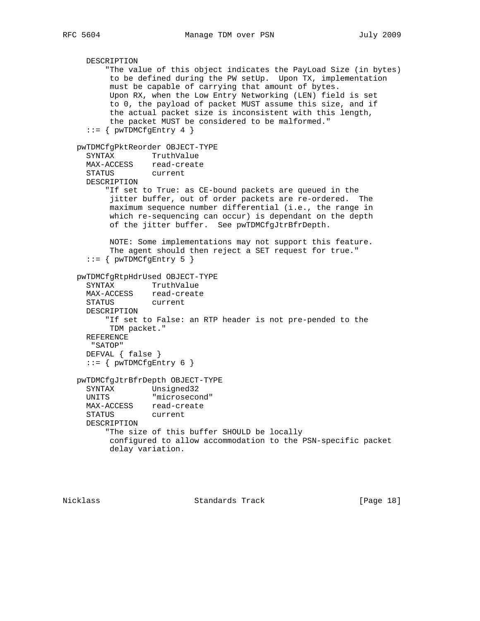```
 DESCRIPTION
       "The value of this object indicates the PayLoad Size (in bytes)
        to be defined during the PW setUp. Upon TX, implementation
        must be capable of carrying that amount of bytes.
        Upon RX, when the Low Entry Networking (LEN) field is set
        to 0, the payload of packet MUST assume this size, and if
        the actual packet size is inconsistent with this length,
        the packet MUST be considered to be malformed."
  ::= { pwTDMCfgEntry 4 }
 pwTDMCfgPktReorder OBJECT-TYPE
   SYNTAX TruthValue
  MAX-ACCESS read-create
   STATUS current
   DESCRIPTION
       "If set to True: as CE-bound packets are queued in the
        jitter buffer, out of order packets are re-ordered. The
        maximum sequence number differential (i.e., the range in
        which re-sequencing can occur) is dependant on the depth
        of the jitter buffer. See pwTDMCfgJtrBfrDepth.
        NOTE: Some implementations may not support this feature.
        The agent should then reject a SET request for true."
   ::= { pwTDMCfgEntry 5 }
 pwTDMCfgRtpHdrUsed OBJECT-TYPE
   SYNTAX TruthValue
  MAX-ACCESS read-create<br>STATUS current
  STATUS
   DESCRIPTION
       "If set to False: an RTP header is not pre-pended to the
       TDM packet."
   REFERENCE
    "SATOP"
  DEFVAL { false }
  ::= { pwTDMCfgEntry 6 }
 pwTDMCfgJtrBfrDepth OBJECT-TYPE
  SYNTAX Unsigned32<br>UNITS "microseco:
               "microsecond"
  MAX-ACCESS read-create
   STATUS current
  DESCRIPTION
       "The size of this buffer SHOULD be locally
       configured to allow accommodation to the PSN-specific packet
        delay variation.
```
Nicklass Standards Track [Page 18]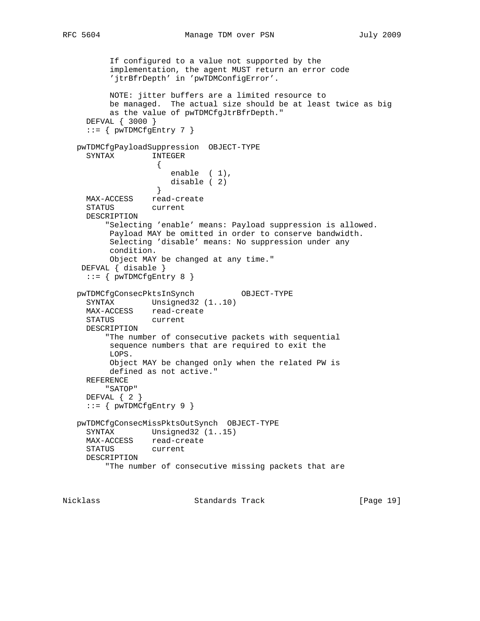If configured to a value not supported by the implementation, the agent MUST return an error code 'jtrBfrDepth' in 'pwTDMConfigError'. NOTE: jitter buffers are a limited resource to be managed. The actual size should be at least twice as big as the value of pwTDMCfgJtrBfrDepth." DEFVAL { 3000 }  $::=$  { pwTDMCfgEntry 7 } pwTDMCfgPayloadSuppression OBJECT-TYPE SYNTAX INTEGER  $\{$  enable ( 1), disable ( 2) } MAX-ACCESS read-create<br>STATUS current STATUS DESCRIPTION "Selecting 'enable' means: Payload suppression is allowed. Payload MAY be omitted in order to conserve bandwidth. Selecting 'disable' means: No suppression under any condition. Object MAY be changed at any time." DEFVAL { disable }  $::=$  { pwTDMCfgEntry 8 } pwTDMCfgConsecPktsInSynch OBJECT-TYPE SYNTAX Unsigned32 (1..10) MAX-ACCESS read-create STATUS current DESCRIPTION "The number of consecutive packets with sequential sequence numbers that are required to exit the LOPS. Object MAY be changed only when the related PW is defined as not active." REFERENCE "SATOP" DEFVAL { 2 }  $::= \{$  pwTDMCfgEntry 9  $\}$  pwTDMCfgConsecMissPktsOutSynch OBJECT-TYPE SYNTAX Unsigned32 (1..15) MAX-ACCESS read-create STATUS current DESCRIPTION "The number of consecutive missing packets that are

Nicklass Standards Track [Page 19]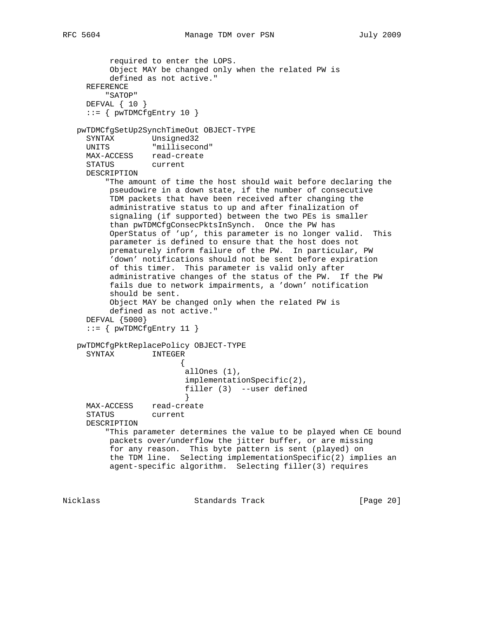```
 required to enter the LOPS.
        Object MAY be changed only when the related PW is
        defined as not active."
   REFERENCE
       "SATOP"
   DEFVAL { 10 }
  ::= { pwTDMCfgEntry 10 }
 pwTDMCfgSetUp2SynchTimeOut OBJECT-TYPE
```

```
 SYNTAX Unsigned32
 UNITS "millisecond"
 MAX-ACCESS read-create
```
STATUS current

 DESCRIPTION "The amount of time the host should wait before declaring the pseudowire in a down state, if the number of consecutive TDM packets that have been received after changing the administrative status to up and after finalization of signaling (if supported) between the two PEs is smaller than pwTDMCfgConsecPktsInSynch. Once the PW has OperStatus of 'up', this parameter is no longer valid. This parameter is defined to ensure that the host does not prematurely inform failure of the PW. In particular, PW 'down' notifications should not be sent before expiration of this timer. This parameter is valid only after administrative changes of the status of the PW. If the PW fails due to network impairments, a 'down' notification should be sent. Object MAY be changed only when the related PW is

```
 defined as not active."
 DEFVAL {5000}
::= { pwTDMCfgEntry 11 }
```

```
 pwTDMCfgPktReplacePolicy OBJECT-TYPE
                INTEGER
\{ allOnes (1),
                        implementationSpecific(2),
                        filler (3) --user defined
 }
     MAX-ACCESS read-create
     STATUS current
     DESCRIPTION
         "This parameter determines the value to be played when CE bound
         packets over/underflow the jitter buffer, or are missing
         for any reason. This byte pattern is sent (played) on
         the TDM line. Selecting implementationSpecific(2) implies an
         agent-specific algorithm. Selecting filler(3) requires
```
Nicklass Standards Track [Page 20]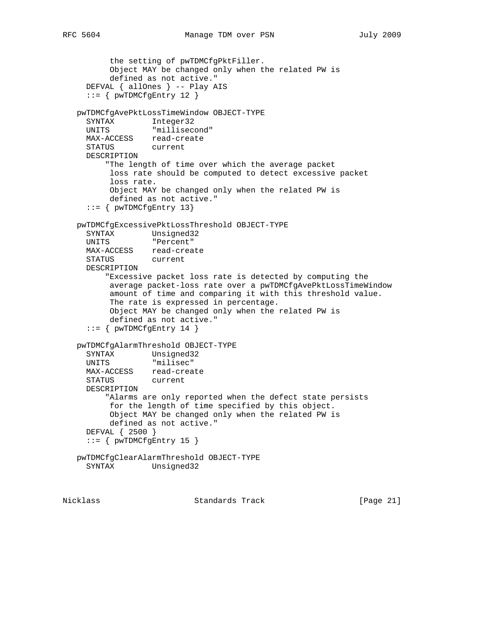```
 the setting of pwTDMCfgPktFiller.
       Object MAY be changed only when the related PW is
       defined as not active."
   DEFVAL { allOnes } -- Play AIS
   ::= { pwTDMCfgEntry 12 }
 pwTDMCfgAvePktLossTimeWindow OBJECT-TYPE
  SYNTAX Integer32
  UNITS "millisecond"
  MAX-ACCESS read-create
  STATUS current
  DESCRIPTION
       "The length of time over which the average packet
       loss rate should be computed to detect excessive packet
       loss rate.
       Object MAY be changed only when the related PW is
       defined as not active."
  ::= { pwTDMCfgEntry 13}
```

```
 pwTDMCfgExcessivePktLossThreshold OBJECT-TYPE
     SYNTAX Unsigned32
     UNITS "Percent"
     MAX-ACCESS read-create
     STATUS current
     DESCRIPTION
         "Excessive packet loss rate is detected by computing the
          average packet-loss rate over a pwTDMCfgAvePktLossTimeWindow
          amount of time and comparing it with this threshold value.
          The rate is expressed in percentage.
          Object MAY be changed only when the related PW is
          defined as not active."
    ::= { pwTDMCfgEntry 14 }
   pwTDMCfgAlarmThreshold OBJECT-TYPE
    SYNTAX Unsigned32<br>UNITS "milisec"
 UNITS "milisec"
 MAX-ACCESS read-create
     STATUS current
     DESCRIPTION
         "Alarms are only reported when the defect state persists
          for the length of time specified by this object.
          Object MAY be changed only when the related PW is
          defined as not active."
     DEFVAL { 2500 }
    ::= { pwTDMCfgEntry 15 }
   pwTDMCfgClearAlarmThreshold OBJECT-TYPE
     SYNTAX Unsigned32
```
Nicklass Standards Track [Page 21]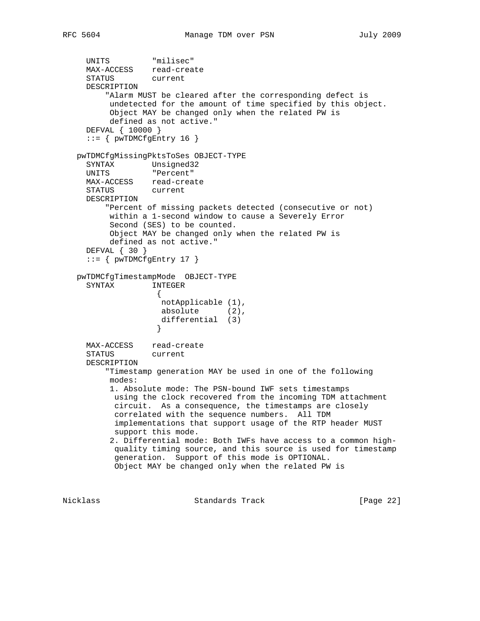```
 UNITS "milisec"
     MAX-ACCESS read-create
     STATUS current
     DESCRIPTION
         "Alarm MUST be cleared after the corresponding defect is
          undetected for the amount of time specified by this object.
          Object MAY be changed only when the related PW is
          defined as not active."
     DEFVAL { 10000 }
    ::= { pwTDMCfgEntry 16 }
   pwTDMCfgMissingPktsToSes OBJECT-TYPE
     SYNTAX Unsigned32
     UNITS "Percent"
     MAX-ACCESS read-create
     STATUS current
     DESCRIPTION
         "Percent of missing packets detected (consecutive or not)
          within a 1-second window to cause a Severely Error
          Second (SES) to be counted.
          Object MAY be changed only when the related PW is
          defined as not active."
     DEFVAL { 30 }
    ::= { pwTDMCfgEntry 17 }
   pwTDMCfgTimestampMode OBJECT-TYPE
     SYNTAX INTEGER
\{ notApplicable (1),
                   absolute (2),
                    differential (3)
 }
     MAX-ACCESS read-create
     STATUS current
     DESCRIPTION
         "Timestamp generation MAY be used in one of the following
          modes:
          1. Absolute mode: The PSN-bound IWF sets timestamps
           using the clock recovered from the incoming TDM attachment
           circuit. As a consequence, the timestamps are closely
           correlated with the sequence numbers. All TDM
           implementations that support usage of the RTP header MUST
           support this mode.
          2. Differential mode: Both IWFs have access to a common high-
           quality timing source, and this source is used for timestamp
           generation. Support of this mode is OPTIONAL.
           Object MAY be changed only when the related PW is
```
Nicklass Standards Track [Page 22]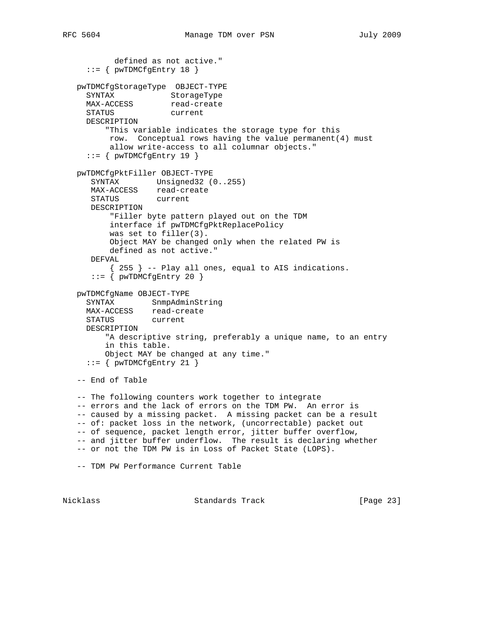```
 defined as not active."
    ::= { pwTDMCfgEntry 18 }
   pwTDMCfgStorageType OBJECT-TYPE
SYNTAX StorageType
MAX-ACCESS read-create
     STATUS current
     DESCRIPTION
         "This variable indicates the storage type for this
          row. Conceptual rows having the value permanent(4) must
          allow write-access to all columnar objects."
    ::= { pwTDMCfgEntry 19 }
   pwTDMCfgPktFiller OBJECT-TYPE
      SYNTAX Unsigned32 (0..255)
     MAX-ACCESS read-create<br>STATUS current
     STATUS
      DESCRIPTION
          "Filler byte pattern played out on the TDM
          interface if pwTDMCfgPktReplacePolicy
          was set to filler(3).
          Object MAY be changed only when the related PW is
          defined as not active."
      DEFVAL
          { 255 } -- Play all ones, equal to AIS indications.
     ::= { pwTDMCfgEntry 20 }
   pwTDMCfgName OBJECT-TYPE
 SYNTAX SnmpAdminString
 MAX-ACCESS read-create
     STATUS current
     DESCRIPTION
         "A descriptive string, preferably a unique name, to an entry
         in this table.
         Object MAY be changed at any time."
    ::= { pwTDMCfgEntry 21 }
   -- End of Table
   -- The following counters work together to integrate
   -- errors and the lack of errors on the TDM PW. An error is
   -- caused by a missing packet. A missing packet can be a result
   -- of: packet loss in the network, (uncorrectable) packet out
   -- of sequence, packet length error, jitter buffer overflow,
   -- and jitter buffer underflow. The result is declaring whether
   -- or not the TDM PW is in Loss of Packet State (LOPS).
   -- TDM PW Performance Current Table
```
Nicklass Standards Track [Page 23]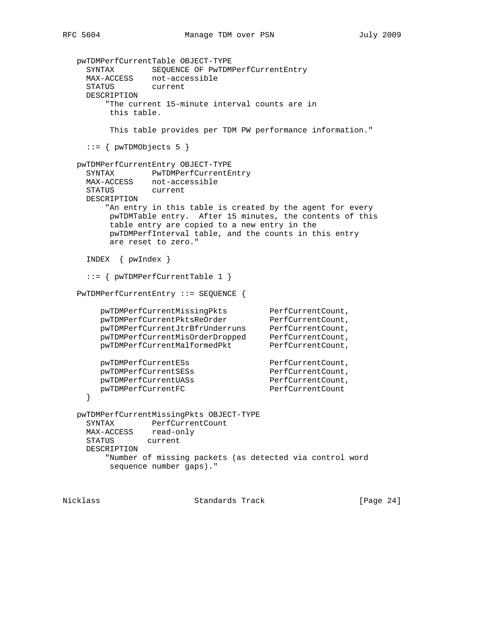```
 pwTDMPerfCurrentTable OBJECT-TYPE
     SYNTAX SEQUENCE OF PwTDMPerfCurrentEntry
     MAX-ACCESS not-accessible
     STATUS current
     DESCRIPTION
         "The current 15-minute interval counts are in
         this table.
         This table provides per TDM PW performance information."
    ::= { pwTDMObjects 5 }
   pwTDMPerfCurrentEntry OBJECT-TYPE
     SYNTAX PwTDMPerfCurrentEntry
     MAX-ACCESS not-accessible
     STATUS current
     DESCRIPTION
        "An entry in this table is created by the agent for every
         pwTDMTable entry. After 15 minutes, the contents of this
         table entry are copied to a new entry in the
         pwTDMPerfInterval table, and the counts in this entry
         are reset to zero."
     INDEX { pwIndex }
     ::= { pwTDMPerfCurrentTable 1 }
   PwTDMPerfCurrentEntry ::= SEQUENCE {
pwTDMPerfCurrentMissingPkts PerfCurrentCount,
pwTDMPerfCurrentPktsReOrder PerfCurrentCount,
 pwTDMPerfCurrentJtrBfrUnderruns PerfCurrentCount,
 pwTDMPerfCurrentMisOrderDropped PerfCurrentCount,
pwTDMPerfCurrentMalformedPkt PerfCurrentCount,
      pwTDMPerfCurrentESs <br>
pwTDMPerfCurrentSESs PerfCurrentCount,
pwTDMPerfCurrentSESs PerfCurrentCount,
pwTDMPerfCurrentUASs PerfCurrentCount,
      pwTDMPerfCurrentFC PerfCurrentCount
     }
   pwTDMPerfCurrentMissingPkts OBJECT-TYPE
     SYNTAX PerfCurrentCount
     MAX-ACCESS read-only
     STATUS current
     DESCRIPTION
         "Number of missing packets (as detected via control word
         sequence number gaps)."
```
Nicklass Standards Track [Page 24]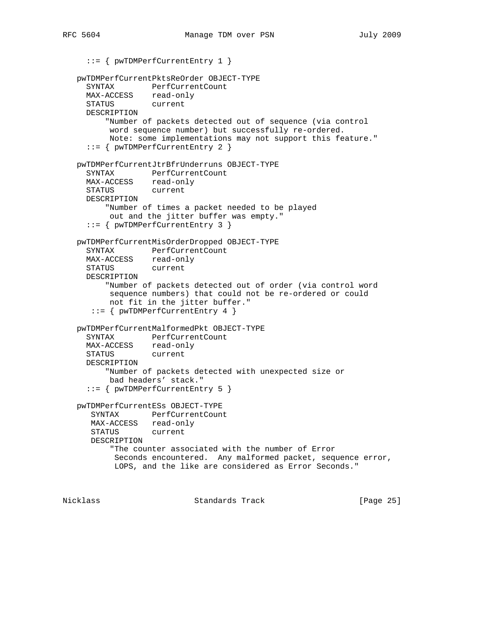::= { pwTDMPerfCurrentEntry 1 } pwTDMPerfCurrentPktsReOrder OBJECT-TYPE SYNTAX PerfCurrentCount MAX-ACCESS read-only STATUS current DESCRIPTION "Number of packets detected out of sequence (via control word sequence number) but successfully re-ordered. Note: some implementations may not support this feature." ::= { pwTDMPerfCurrentEntry 2 } pwTDMPerfCurrentJtrBfrUnderruns OBJECT-TYPE SYNTAX PerfCurrentCount MAX-ACCESS read-only STATUS current DESCRIPTION "Number of times a packet needed to be played out and the jitter buffer was empty." ::= { pwTDMPerfCurrentEntry 3 } pwTDMPerfCurrentMisOrderDropped OBJECT-TYPE SYNTAX PerfCurrentCount MAX-ACCESS read-only STATUS current DESCRIPTION "Number of packets detected out of order (via control word sequence numbers) that could not be re-ordered or could not fit in the jitter buffer." ::= { pwTDMPerfCurrentEntry 4 } pwTDMPerfCurrentMalformedPkt OBJECT-TYPE SYNTAX PerfCurrentCount MAX-ACCESS read-only STATUS current DESCRIPTION "Number of packets detected with unexpected size or bad headers' stack." ::= { pwTDMPerfCurrentEntry 5 } pwTDMPerfCurrentESs OBJECT-TYPE SYNTAX PerfCurrentCount MAX-ACCESS read-only STATUS current DESCRIPTION "The counter associated with the number of Error Seconds encountered. Any malformed packet, sequence error, LOPS, and the like are considered as Error Seconds."

Nicklass Standards Track [Page 25]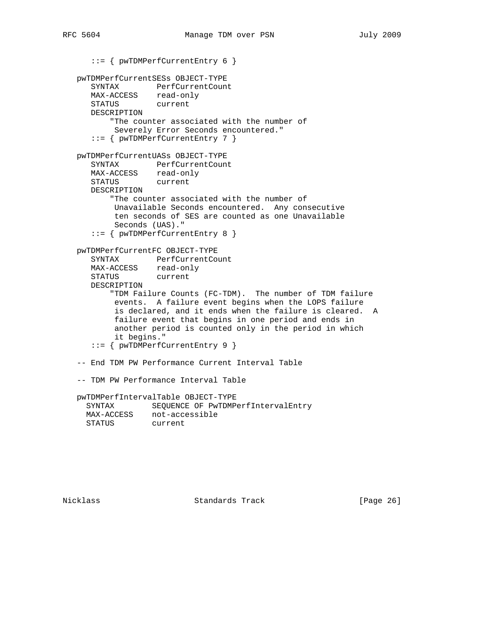```
 ::= { pwTDMPerfCurrentEntry 6 }
```

```
 pwTDMPerfCurrentSESs OBJECT-TYPE
 SYNTAX PerfCurrentCount
 MAX-ACCESS read-only
 STATUS current
      DESCRIPTION
          "The counter associated with the number of
          Severely Error Seconds encountered."
      ::= { pwTDMPerfCurrentEntry 7 }
   pwTDMPerfCurrentUASs OBJECT-TYPE
 SYNTAX PerfCurrentCount
 MAX-ACCESS read-only
 STATUS current
      DESCRIPTION
          "The counter associated with the number of
          Unavailable Seconds encountered. Any consecutive
          ten seconds of SES are counted as one Unavailable
          Seconds (UAS)."
      ::= { pwTDMPerfCurrentEntry 8 }
   pwTDMPerfCurrentFC OBJECT-TYPE
 SYNTAX PerfCurrentCount
 MAX-ACCESS read-only
 STATUS current
      DESCRIPTION
          "TDM Failure Counts (FC-TDM). The number of TDM failure
          events. A failure event begins when the LOPS failure
           is declared, and it ends when the failure is cleared. A
          failure event that begins in one period and ends in
           another period is counted only in the period in which
           it begins."
      ::= { pwTDMPerfCurrentEntry 9 }
   -- End TDM PW Performance Current Interval Table
   -- TDM PW Performance Interval Table
   pwTDMPerfIntervalTable OBJECT-TYPE
     SYNTAX SEQUENCE OF PwTDMPerfIntervalEntry
     MAX-ACCESS not-accessible
     STATUS current
```
Nicklass Standards Track [Page 26]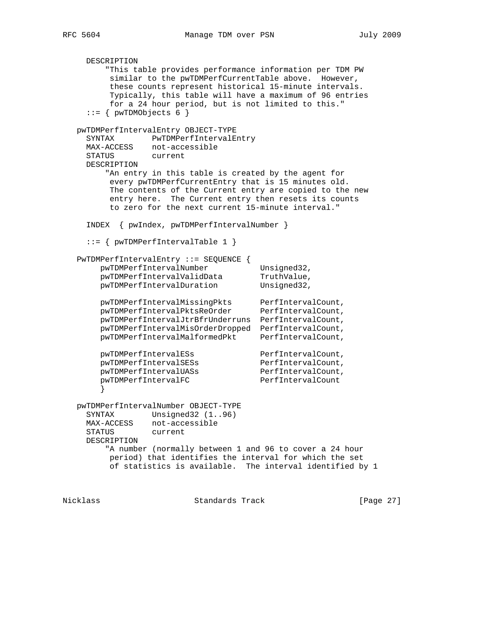DESCRIPTION "This table provides performance information per TDM PW similar to the pwTDMPerfCurrentTable above. However, these counts represent historical 15-minute intervals. Typically, this table will have a maximum of 96 entries for a 24 hour period, but is not limited to this."  $::=$  { pwTDMObjects 6 } pwTDMPerfIntervalEntry OBJECT-TYPE SYNTAX PwTDMPerfIntervalEntry MAX-ACCESS not-accessible STATUS current DESCRIPTION "An entry in this table is created by the agent for every pwTDMPerfCurrentEntry that is 15 minutes old. The contents of the Current entry are copied to the new entry here. The Current entry then resets its counts to zero for the next current 15-minute interval." INDEX { pwIndex, pwTDMPerfIntervalNumber } ::= { pwTDMPerfIntervalTable 1 } PwTDMPerfIntervalEntry ::= SEQUENCE { pwTDMPerfIntervalNumber Unsigned32, pwTDMPerfIntervalValidData TruthValue, pwTDMPerfIntervalDuration Unsigned32, pwTDMPerfIntervalMissingPkts PerfIntervalCount, pwTDMPerfIntervalPktsReOrder PerfIntervalCount, pwTDMPerfIntervalJtrBfrUnderruns PerfIntervalCount, pwTDMPerfIntervalMisOrderDropped PerfIntervalCount, pwTDMPerfIntervalMalformedPkt PerfIntervalCount, pwTDMPerfIntervalESs PerfIntervalCount, pwTDMPerfIntervalSESs PerfIntervalCount, pwTDMPerfIntervalUASs PerfIntervalCount, pwTDMPerfIntervalFC PerfIntervalCount } pwTDMPerfIntervalNumber OBJECT-TYPE SYNTAX Unsigned32 (1..96) MAX-ACCESS not-accessible STATUS current DESCRIPTION "A number (normally between 1 and 96 to cover a 24 hour period) that identifies the interval for which the set of statistics is available. The interval identified by 1

Nicklass Standards Track [Page 27]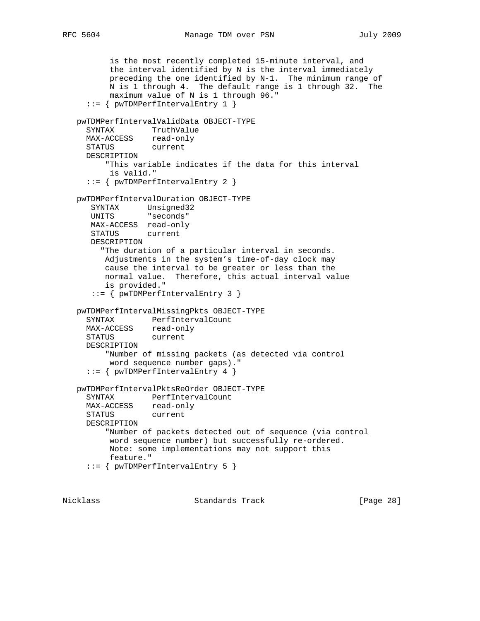```
 is the most recently completed 15-minute interval, and
        the interval identified by N is the interval immediately
        preceding the one identified by N-1. The minimum range of
        N is 1 through 4. The default range is 1 through 32. The
        maximum value of N is 1 through 96."
   ::= { pwTDMPerfIntervalEntry 1 }
 pwTDMPerfIntervalValidData OBJECT-TYPE
   SYNTAX TruthValue
  MAX-ACCESS read-only
  STATUS current
  DESCRIPTION
       "This variable indicates if the data for this interval
        is valid."
   ::= { pwTDMPerfIntervalEntry 2 }
 pwTDMPerfIntervalDuration OBJECT-TYPE
    SYNTAX Unsigned32
    UNITS "seconds"
   MAX-ACCESS read-only
    STATUS current
    DESCRIPTION
      "The duration of a particular interval in seconds.
      Adjustments in the system's time-of-day clock may
      cause the interval to be greater or less than the
      normal value. Therefore, this actual interval value
       is provided."
    ::= { pwTDMPerfIntervalEntry 3 }
 pwTDMPerfIntervalMissingPkts OBJECT-TYPE
   SYNTAX PerfIntervalCount
  MAX-ACCESS read-only
  STATUS current
   DESCRIPTION
       "Number of missing packets (as detected via control
       word sequence number gaps)."
   ::= { pwTDMPerfIntervalEntry 4 }
 pwTDMPerfIntervalPktsReOrder OBJECT-TYPE
   SYNTAX PerfIntervalCount
  MAX-ACCESS read-only
   STATUS current
  DESCRIPTION
       "Number of packets detected out of sequence (via control
        word sequence number) but successfully re-ordered.
       Note: some implementations may not support this
       feature."
   ::= { pwTDMPerfIntervalEntry 5 }
```
Nicklass Standards Track [Page 28]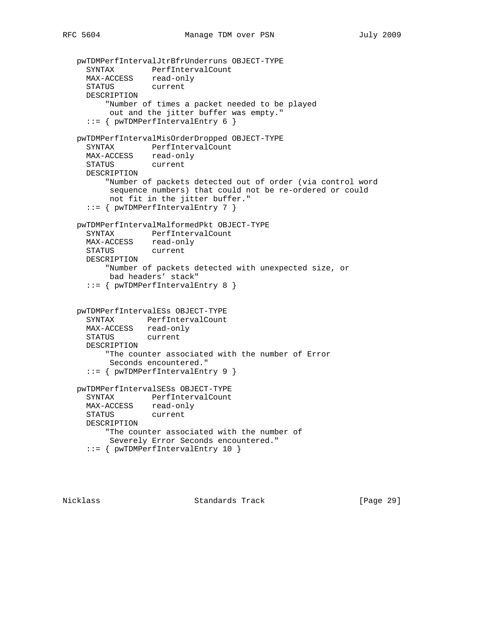```
 pwTDMPerfIntervalJtrBfrUnderruns OBJECT-TYPE
 SYNTAX PerfIntervalCount
 MAX-ACCESS read-only
     STATUS current
     DESCRIPTION
         "Number of times a packet needed to be played
          out and the jitter buffer was empty."
     ::= { pwTDMPerfIntervalEntry 6 }
   pwTDMPerfIntervalMisOrderDropped OBJECT-TYPE
     SYNTAX PerfIntervalCount
    MAX-ACCESS read-only
     STATUS current
     DESCRIPTION
         "Number of packets detected out of order (via control word
          sequence numbers) that could not be re-ordered or could
          not fit in the jitter buffer."
     ::= { pwTDMPerfIntervalEntry 7 }
   pwTDMPerfIntervalMalformedPkt OBJECT-TYPE
     SYNTAX PerfIntervalCount
     MAX-ACCESS read-only
     STATUS current
     DESCRIPTION
         "Number of packets detected with unexpected size, or
          bad headers' stack"
     ::= { pwTDMPerfIntervalEntry 8 }
   pwTDMPerfIntervalESs OBJECT-TYPE
     SYNTAX PerfIntervalCount
     MAX-ACCESS read-only
     STATUS current
     DESCRIPTION
         "The counter associated with the number of Error
          Seconds encountered."
     ::= { pwTDMPerfIntervalEntry 9 }
   pwTDMPerfIntervalSESs OBJECT-TYPE
     SYNTAX PerfIntervalCount
     MAX-ACCESS read-only
     STATUS current
     DESCRIPTION
         "The counter associated with the number of
          Severely Error Seconds encountered."
     ::= { pwTDMPerfIntervalEntry 10 }
```
Nicklass Standards Track [Page 29]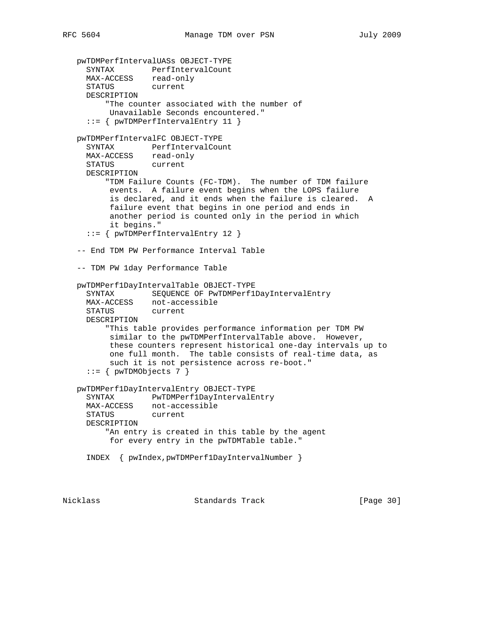```
 pwTDMPerfIntervalUASs OBJECT-TYPE
 SYNTAX PerfIntervalCount
 MAX-ACCESS read-only
     STATUS current
     DESCRIPTION
         "The counter associated with the number of
          Unavailable Seconds encountered."
     ::= { pwTDMPerfIntervalEntry 11 }
   pwTDMPerfIntervalFC OBJECT-TYPE
     SYNTAX PerfIntervalCount
     MAX-ACCESS read-only
     STATUS current
     DESCRIPTION
         "TDM Failure Counts (FC-TDM). The number of TDM failure
          events. A failure event begins when the LOPS failure
          is declared, and it ends when the failure is cleared. A
          failure event that begins in one period and ends in
          another period is counted only in the period in which
          it begins."
     ::= { pwTDMPerfIntervalEntry 12 }
   -- End TDM PW Performance Interval Table
   -- TDM PW 1day Performance Table
   pwTDMPerf1DayIntervalTable OBJECT-TYPE
     SYNTAX SEQUENCE OF PwTDMPerf1DayIntervalEntry
     MAX-ACCESS not-accessible
     STATUS current
     DESCRIPTION
         "This table provides performance information per TDM PW
          similar to the pwTDMPerfIntervalTable above. However,
          these counters represent historical one-day intervals up to
          one full month. The table consists of real-time data, as
          such it is not persistence across re-boot."
    ::= { pwTDMObjects 7 }
   pwTDMPerf1DayIntervalEntry OBJECT-TYPE
     SYNTAX PwTDMPerf1DayIntervalEntry
     MAX-ACCESS not-accessible
     STATUS current
     DESCRIPTION
         "An entry is created in this table by the agent
          for every entry in the pwTDMTable table."
     INDEX { pwIndex,pwTDMPerf1DayIntervalNumber }
```
Nicklass Standards Track [Page 30]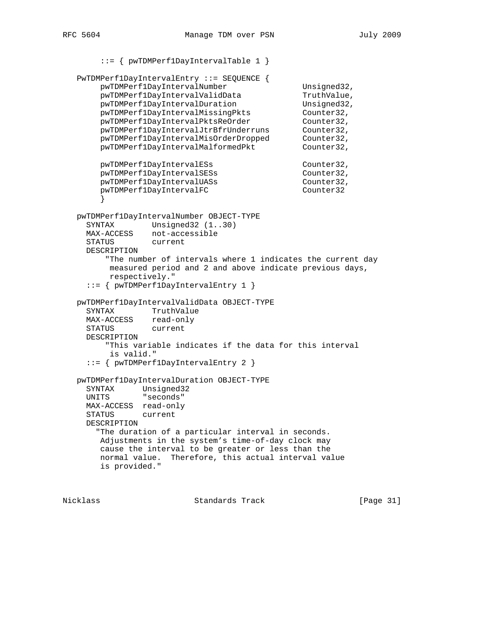```
 ::= { pwTDMPerf1DayIntervalTable 1 }
   PwTDMPerf1DayIntervalEntry ::= SEQUENCE {
      pwTDMPerf1DayIntervalNumber Unsigned32,
      pwTDMPerf1DayIntervalValidData TruthValue,
pwTDMPerf1DayIntervalDuration 1997 Unsigned32,
 pwTDMPerf1DayIntervalMissingPkts Counter32,
pwTDMPerf1DayIntervalPktsReOrder Counter32,
 pwTDMPerf1DayIntervalJtrBfrUnderruns Counter32,
 pwTDMPerf1DayIntervalMisOrderDropped Counter32,
pwTDMPerf1DayIntervalMalformedPkt Counter32,
      pwTDMPerf1DayIntervalESs Counter32,
      pwTDMPerf1DayIntervalSESs Counter32,
      pwTDMPerf1DayIntervalUASs Counter32,
      pwTDMPerf1DayIntervalFC Counter32
       }
   pwTDMPerf1DayIntervalNumber OBJECT-TYPE
    SYNTAX Unsigned32 (1..30)
    MAX-ACCESS not-accessible
     STATUS current
     DESCRIPTION
        "The number of intervals where 1 indicates the current day
         measured period and 2 and above indicate previous days,
         respectively."
     ::= { pwTDMPerf1DayIntervalEntry 1 }
   pwTDMPerf1DayIntervalValidData OBJECT-TYPE
     SYNTAX TruthValue
    MAX-ACCESS read-only
     STATUS current
    DESCRIPTION
        "This variable indicates if the data for this interval
         is valid."
     ::= { pwTDMPerf1DayIntervalEntry 2 }
   pwTDMPerf1DayIntervalDuration OBJECT-TYPE
 SYNTAX Unsigned32
 UNITS "seconds"
    MAX-ACCESS read-only
     STATUS current
     DESCRIPTION
       "The duration of a particular interval in seconds.
       Adjustments in the system's time-of-day clock may
       cause the interval to be greater or less than the
       normal value. Therefore, this actual interval value
       is provided."
```
Nicklass Standards Track [Page 31]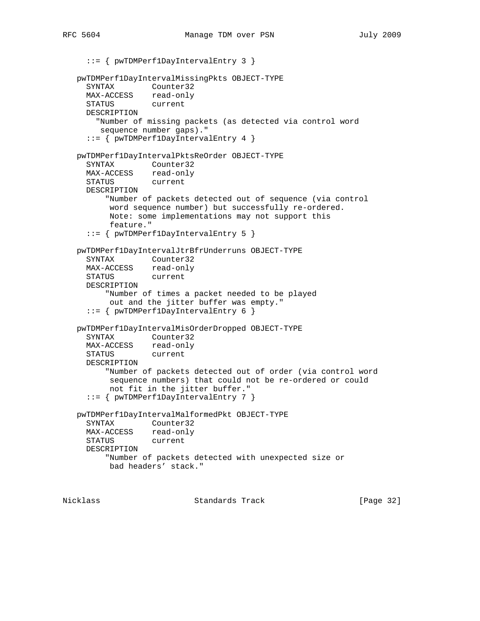::= { pwTDMPerf1DayIntervalEntry 3 } pwTDMPerf1DayIntervalMissingPkts OBJECT-TYPE SYNTAX Counter32 MAX-ACCESS read-only<br>STATUS current STATUS DESCRIPTION "Number of missing packets (as detected via control word sequence number gaps)." ::= { pwTDMPerf1DayIntervalEntry 4 } pwTDMPerf1DayIntervalPktsReOrder OBJECT-TYPE SYNTAX Counter32 MAX-ACCESS read-only STATUS current DESCRIPTION "Number of packets detected out of sequence (via control word sequence number) but successfully re-ordered. Note: some implementations may not support this feature." ::= { pwTDMPerf1DayIntervalEntry 5 } pwTDMPerf1DayIntervalJtrBfrUnderruns OBJECT-TYPE SYNTAX Counter32 MAX-ACCESS read-only STATUS current DESCRIPTION "Number of times a packet needed to be played out and the jitter buffer was empty." ::= { pwTDMPerf1DayIntervalEntry 6 } pwTDMPerf1DayIntervalMisOrderDropped OBJECT-TYPE SYNTAX Counter32 MAX-ACCESS read-only STATUS current DESCRIPTION "Number of packets detected out of order (via control word sequence numbers) that could not be re-ordered or could not fit in the jitter buffer." ::= { pwTDMPerf1DayIntervalEntry 7 } pwTDMPerf1DayIntervalMalformedPkt OBJECT-TYPE SYNTAX Counter32 MAX-ACCESS read-only STATUS current DESCRIPTION "Number of packets detected with unexpected size or bad headers' stack."

Nicklass Standards Track [Page 32]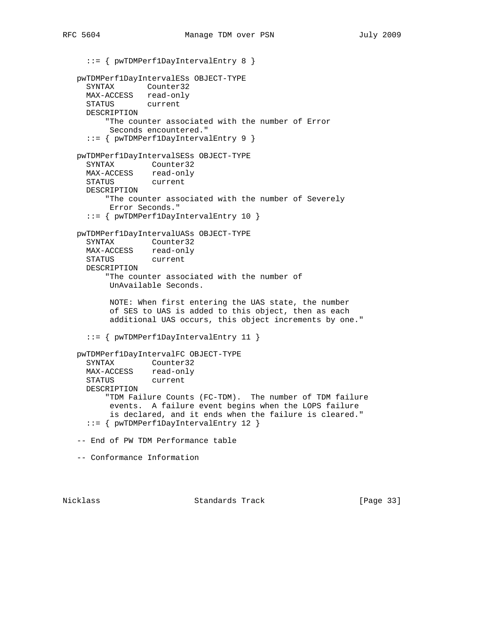::= { pwTDMPerf1DayIntervalEntry 8 } pwTDMPerf1DayIntervalESs OBJECT-TYPE SYNTAX Counter32 MAX-ACCESS read-only STATUS current DESCRIPTION "The counter associated with the number of Error Seconds encountered." ::= { pwTDMPerf1DayIntervalEntry 9 } pwTDMPerf1DayIntervalSESs OBJECT-TYPE SYNTAX Counter32 MAX-ACCESS read-only STATUS current DESCRIPTION "The counter associated with the number of Severely Error Seconds." ::= { pwTDMPerf1DayIntervalEntry 10 } pwTDMPerf1DayIntervalUASs OBJECT-TYPE SYNTAX Counter32 MAX-ACCESS read-only STATUS current DESCRIPTION "The counter associated with the number of UnAvailable Seconds. NOTE: When first entering the UAS state, the number of SES to UAS is added to this object, then as each additional UAS occurs, this object increments by one." ::= { pwTDMPerf1DayIntervalEntry 11 } pwTDMPerf1DayIntervalFC OBJECT-TYPE SYNTAX Counter32 MAX-ACCESS read-only STATUS current DESCRIPTION "TDM Failure Counts (FC-TDM). The number of TDM failure events. A failure event begins when the LOPS failure is declared, and it ends when the failure is cleared." ::= { pwTDMPerf1DayIntervalEntry 12 } -- End of PW TDM Performance table -- Conformance Information

Nicklass Standards Track [Page 33]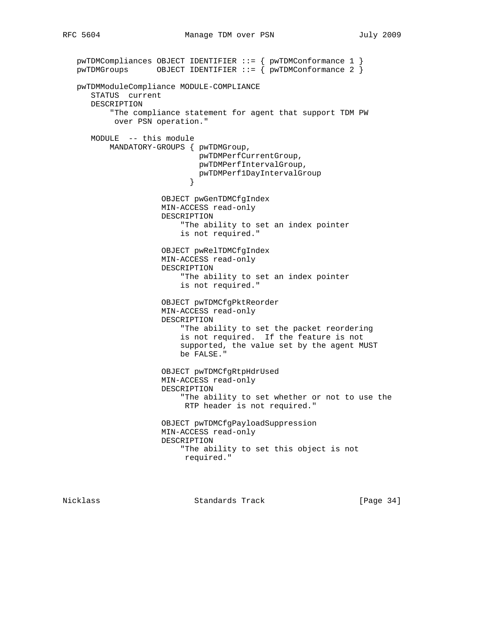```
 pwTDMCompliances OBJECT IDENTIFIER ::= { pwTDMConformance 1 }
  pwTDMGrows OBJECT IDENTIFIER ::= { pwTDMConformance 2 }
   pwTDMModuleCompliance MODULE-COMPLIANCE
      STATUS current
      DESCRIPTION
           "The compliance statement for agent that support TDM PW
           over PSN operation."
      MODULE -- this module
          MANDATORY-GROUPS { pwTDMGroup,
                             pwTDMPerfCurrentGroup,
                             pwTDMPerfIntervalGroup,
                           pwTDMPerf1DayIntervalGroup<br>}
 }
                      OBJECT pwGenTDMCfgIndex
                      MIN-ACCESS read-only
                      DESCRIPTION
                          "The ability to set an index pointer
                          is not required."
                      OBJECT pwRelTDMCfgIndex
                      MIN-ACCESS read-only
                      DESCRIPTION
                          "The ability to set an index pointer
                          is not required."
                      OBJECT pwTDMCfgPktReorder
                      MIN-ACCESS read-only
                      DESCRIPTION
                          "The ability to set the packet reordering
                          is not required. If the feature is not
                          supported, the value set by the agent MUST
                          be FALSE."
                      OBJECT pwTDMCfgRtpHdrUsed
                      MIN-ACCESS read-only
                      DESCRIPTION
                          "The ability to set whether or not to use the
                          RTP header is not required."
                      OBJECT pwTDMCfgPayloadSuppression
                      MIN-ACCESS read-only
                      DESCRIPTION
                          "The ability to set this object is not
                          required."
```
Nicklass Standards Track [Page 34]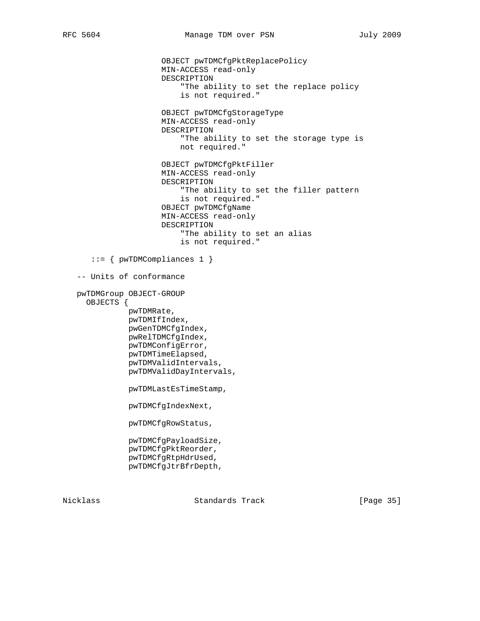OBJECT pwTDMCfgPktReplacePolicy MIN-ACCESS read-only DESCRIPTION "The ability to set the replace policy is not required." OBJECT pwTDMCfgStorageType MIN-ACCESS read-only DESCRIPTION "The ability to set the storage type is not required." OBJECT pwTDMCfgPktFiller MIN-ACCESS read-only DESCRIPTION "The ability to set the filler pattern is not required." OBJECT pwTDMCfgName MIN-ACCESS read-only DESCRIPTION "The ability to set an alias is not required." ::= { pwTDMCompliances 1 } -- Units of conformance pwTDMGroup OBJECT-GROUP OBJECTS { pwTDMRate, pwTDMIfIndex, pwGenTDMCfgIndex, pwRelTDMCfgIndex, pwTDMConfigError, pwTDMTimeElapsed, pwTDMValidIntervals, pwTDMValidDayIntervals, pwTDMLastEsTimeStamp, pwTDMCfgIndexNext, pwTDMCfgRowStatus, pwTDMCfgPayloadSize, pwTDMCfgPktReorder, pwTDMCfgRtpHdrUsed, pwTDMCfgJtrBfrDepth,

Nicklass Standards Track [Page 35]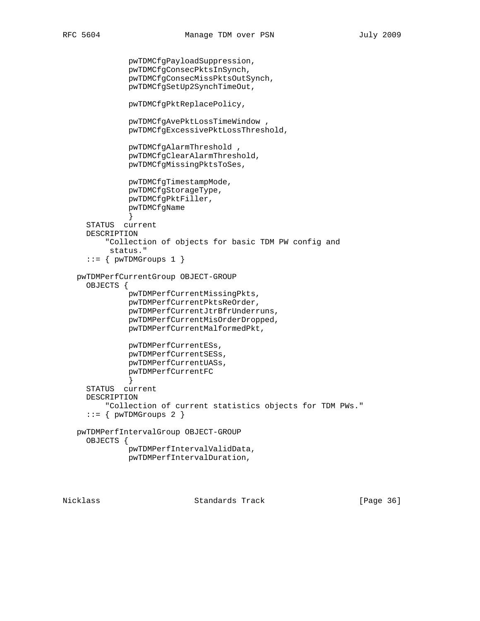pwTDMCfgPayloadSuppression,

```
 pwTDMCfgConsecPktsInSynch,
               pwTDMCfgConsecMissPktsOutSynch,
               pwTDMCfgSetUp2SynchTimeOut,
               pwTDMCfgPktReplacePolicy,
               pwTDMCfgAvePktLossTimeWindow ,
               pwTDMCfgExcessivePktLossThreshold,
               pwTDMCfgAlarmThreshold ,
               pwTDMCfgClearAlarmThreshold,
               pwTDMCfgMissingPktsToSes,
               pwTDMCfgTimestampMode,
               pwTDMCfgStorageType,
               pwTDMCfgPktFiller,
              pwTDMCfgName
 }
     STATUS current
     DESCRIPTION
          "Collection of objects for basic TDM PW config and
          status."
     ::= { pwTDMGroups 1 }
   pwTDMPerfCurrentGroup OBJECT-GROUP
     OBJECTS {
               pwTDMPerfCurrentMissingPkts,
               pwTDMPerfCurrentPktsReOrder,
               pwTDMPerfCurrentJtrBfrUnderruns,
               pwTDMPerfCurrentMisOrderDropped,
               pwTDMPerfCurrentMalformedPkt,
              pwTDMPerfCurrentESs,
               pwTDMPerfCurrentSESs,
               pwTDMPerfCurrentUASs,
               pwTDMPerfCurrentFC
 }
     STATUS current
     DESCRIPTION
         "Collection of current statistics objects for TDM PWs."
     ::= { pwTDMGroups 2 }
   pwTDMPerfIntervalGroup OBJECT-GROUP
     OBJECTS {
               pwTDMPerfIntervalValidData,
               pwTDMPerfIntervalDuration,
```
Nicklass Standards Track [Page 36]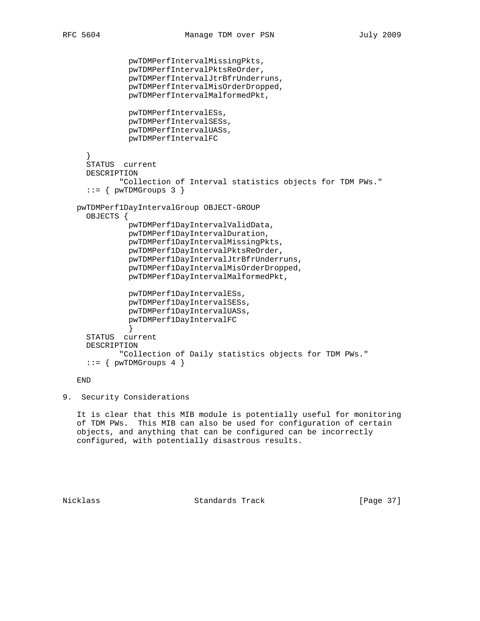```
 pwTDMPerfIntervalMissingPkts,
               pwTDMPerfIntervalPktsReOrder,
               pwTDMPerfIntervalJtrBfrUnderruns,
               pwTDMPerfIntervalMisOrderDropped,
               pwTDMPerfIntervalMalformedPkt,
               pwTDMPerfIntervalESs,
               pwTDMPerfIntervalSESs,
               pwTDMPerfIntervalUASs,
               pwTDMPerfIntervalFC
      }
     STATUS current
     DESCRIPTION
             "Collection of Interval statistics objects for TDM PWs."
     ::= { pwTDMGrows 3 }
   pwTDMPerf1DayIntervalGroup OBJECT-GROUP
     OBJECTS {
              pwTDMPerf1DayIntervalValidData,
               pwTDMPerf1DayIntervalDuration,
               pwTDMPerf1DayIntervalMissingPkts,
               pwTDMPerf1DayIntervalPktsReOrder,
               pwTDMPerf1DayIntervalJtrBfrUnderruns,
               pwTDMPerf1DayIntervalMisOrderDropped,
               pwTDMPerf1DayIntervalMalformedPkt,
               pwTDMPerf1DayIntervalESs,
               pwTDMPerf1DayIntervalSESs,
               pwTDMPerf1DayIntervalUASs,
               pwTDMPerf1DayIntervalFC
 }
     STATUS current
     DESCRIPTION
             "Collection of Daily statistics objects for TDM PWs."
      ::= { pwTDMGroups 4 }
```
## END

9. Security Considerations

 It is clear that this MIB module is potentially useful for monitoring of TDM PWs. This MIB can also be used for configuration of certain objects, and anything that can be configured can be incorrectly configured, with potentially disastrous results.

Nicklass Standards Track [Page 37]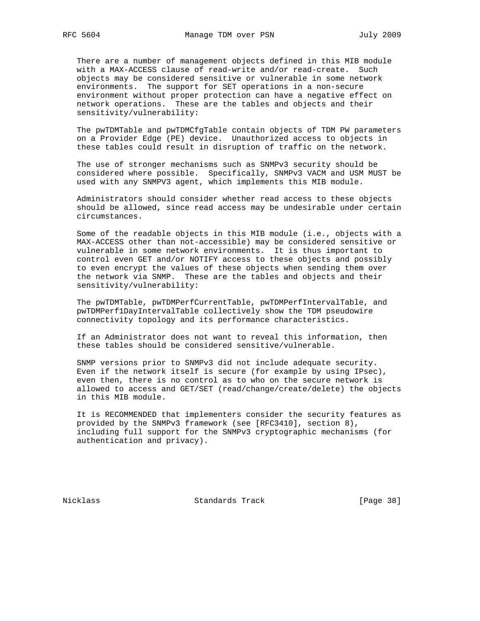There are a number of management objects defined in this MIB module with a MAX-ACCESS clause of read-write and/or read-create. Such objects may be considered sensitive or vulnerable in some network environments. The support for SET operations in a non-secure environment without proper protection can have a negative effect on network operations. These are the tables and objects and their sensitivity/vulnerability:

 The pwTDMTable and pwTDMCfgTable contain objects of TDM PW parameters on a Provider Edge (PE) device. Unauthorized access to objects in these tables could result in disruption of traffic on the network.

 The use of stronger mechanisms such as SNMPv3 security should be considered where possible. Specifically, SNMPv3 VACM and USM MUST be used with any SNMPV3 agent, which implements this MIB module.

 Administrators should consider whether read access to these objects should be allowed, since read access may be undesirable under certain circumstances.

 Some of the readable objects in this MIB module (i.e., objects with a MAX-ACCESS other than not-accessible) may be considered sensitive or vulnerable in some network environments. It is thus important to control even GET and/or NOTIFY access to these objects and possibly to even encrypt the values of these objects when sending them over the network via SNMP. These are the tables and objects and their sensitivity/vulnerability:

 The pwTDMTable, pwTDMPerfCurrentTable, pwTDMPerfIntervalTable, and pwTDMPerf1DayIntervalTable collectively show the TDM pseudowire connectivity topology and its performance characteristics.

 If an Administrator does not want to reveal this information, then these tables should be considered sensitive/vulnerable.

 SNMP versions prior to SNMPv3 did not include adequate security. Even if the network itself is secure (for example by using IPsec), even then, there is no control as to who on the secure network is allowed to access and GET/SET (read/change/create/delete) the objects in this MIB module.

 It is RECOMMENDED that implementers consider the security features as provided by the SNMPv3 framework (see [RFC3410], section 8), including full support for the SNMPv3 cryptographic mechanisms (for authentication and privacy).

Nicklass Standards Track [Page 38]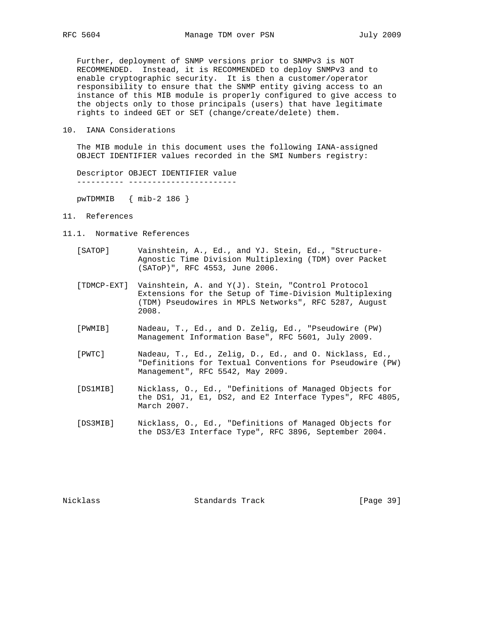Further, deployment of SNMP versions prior to SNMPv3 is NOT RECOMMENDED. Instead, it is RECOMMENDED to deploy SNMPv3 and to enable cryptographic security. It is then a customer/operator responsibility to ensure that the SNMP entity giving access to an instance of this MIB module is properly configured to give access to the objects only to those principals (users) that have legitimate rights to indeed GET or SET (change/create/delete) them.

10. IANA Considerations

 The MIB module in this document uses the following IANA-assigned OBJECT IDENTIFIER values recorded in the SMI Numbers registry:

 Descriptor OBJECT IDENTIFIER value ---------- -----------------------

pwTDMMIB { mib-2 186 }

- 11. References
- 11.1. Normative References
	- [SATOP] Vainshtein, A., Ed., and YJ. Stein, Ed., "Structure- Agnostic Time Division Multiplexing (TDM) over Packet (SAToP)", RFC 4553, June 2006.
	- [TDMCP-EXT] Vainshtein, A. and Y(J). Stein, "Control Protocol Extensions for the Setup of Time-Division Multiplexing (TDM) Pseudowires in MPLS Networks", RFC 5287, August 2008.
	- [PWMIB] Nadeau, T., Ed., and D. Zelig, Ed., "Pseudowire (PW) Management Information Base", RFC 5601, July 2009.
	- [PWTC] Nadeau, T., Ed., Zelig, D., Ed., and O. Nicklass, Ed., "Definitions for Textual Conventions for Pseudowire (PW) Management", RFC 5542, May 2009.
	- [DS1MIB] Nicklass, O., Ed., "Definitions of Managed Objects for the DS1, J1, E1, DS2, and E2 Interface Types", RFC 4805, March 2007.
	- [DS3MIB] Nicklass, O., Ed., "Definitions of Managed Objects for the DS3/E3 Interface Type", RFC 3896, September 2004.

Nicklass Standards Track [Page 39]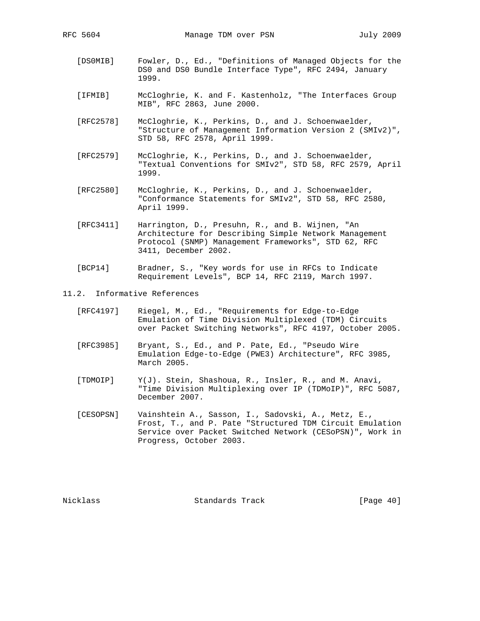- [DS0MIB] Fowler, D., Ed., "Definitions of Managed Objects for the DS0 and DS0 Bundle Interface Type", RFC 2494, January 1999.
- [IFMIB] McCloghrie, K. and F. Kastenholz, "The Interfaces Group MIB", RFC 2863, June 2000.
- [RFC2578] McCloghrie, K., Perkins, D., and J. Schoenwaelder, "Structure of Management Information Version 2 (SMIv2)", STD 58, RFC 2578, April 1999.
- [RFC2579] McCloghrie, K., Perkins, D., and J. Schoenwaelder, "Textual Conventions for SMIv2", STD 58, RFC 2579, April 1999.
- [RFC2580] McCloghrie, K., Perkins, D., and J. Schoenwaelder, "Conformance Statements for SMIv2", STD 58, RFC 2580, April 1999.
- [RFC3411] Harrington, D., Presuhn, R., and B. Wijnen, "An Architecture for Describing Simple Network Management Protocol (SNMP) Management Frameworks", STD 62, RFC 3411, December 2002.
- [BCP14] Bradner, S., "Key words for use in RFCs to Indicate Requirement Levels", BCP 14, RFC 2119, March 1997.
- 11.2. Informative References
	- [RFC4197] Riegel, M., Ed., "Requirements for Edge-to-Edge Emulation of Time Division Multiplexed (TDM) Circuits over Packet Switching Networks", RFC 4197, October 2005.
	- [RFC3985] Bryant, S., Ed., and P. Pate, Ed., "Pseudo Wire Emulation Edge-to-Edge (PWE3) Architecture", RFC 3985, March 2005.
	- [TDMOIP] Y(J). Stein, Shashoua, R., Insler, R., and M. Anavi, "Time Division Multiplexing over IP (TDMoIP)", RFC 5087, December 2007.
	- [CESOPSN] Vainshtein A., Sasson, I., Sadovski, A., Metz, E., Frost, T., and P. Pate "Structured TDM Circuit Emulation Service over Packet Switched Network (CESoPSN)", Work in Progress, October 2003.

Nicklass Standards Track [Page 40]